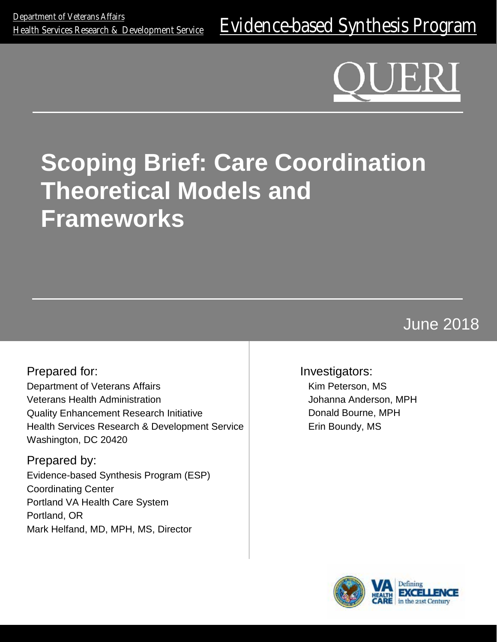[Evidence-based Synthesis Program](http://www.hsrd.research.va.gov/publications/esp/)

# Eveping Diton Care Coolemanon: **Frameworks Transgender Veterans Scoping Brief: Care Coordination Theoretical Models and Frameworks**

# June 2018

Prepared for: Department of Veterans Affairs Veterans Health Administration Quality Enhancement Research Initiative Health Services Research & Development Service Washington, DC 20420

Prepared by: Evidence-based Synthesis Program (ESP) Coordinating Center Portland VA Health Care System Portland, OR Mark Helfand, MD, MPH, MS, Director

Investigators:

Kim Peterson, MS Johanna Anderson, MPH Donald Bourne, MPH Erin Boundy, MS



4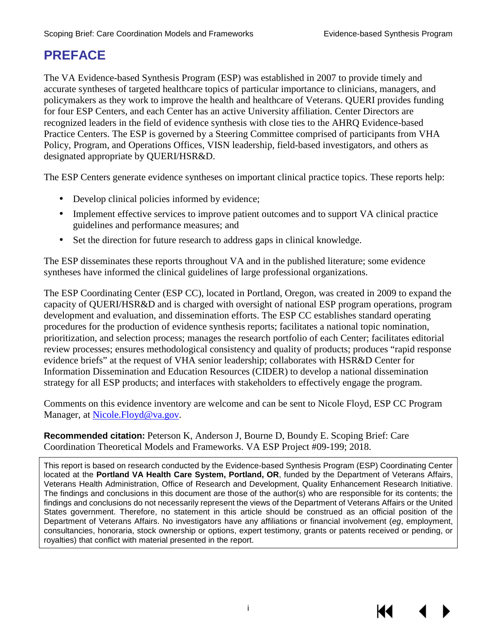# **PREFACE**

The VA Evidence-based Synthesis Program (ESP) was established in 2007 to provide timely and accurate syntheses of targeted healthcare topics of particular importance to clinicians, managers, and policymakers as they work to improve the health and healthcare of Veterans. QUERI provides funding for four ESP Centers, and each Center has an active University affiliation. Center Directors are recognized leaders in the field of evidence synthesis with close ties to the AHRQ Evidence-based Practice Centers. The ESP is governed by a Steering Committee comprised of participants from VHA Policy, Program, and Operations Offices, VISN leadership, field-based investigators, and others as designated appropriate by QUERI/HSR&D.

The ESP Centers generate evidence syntheses on important clinical practice topics. These reports help:

- Develop clinical policies informed by evidence;  $\mathbf{r}$
- Implement effective services to improve patient outcomes and to support VA clinical practice guidelines and performance measures; and
- Set the direction for future research to address gaps in clinical knowledge.

The ESP disseminates these reports throughout VA and in the published literature; some evidence syntheses have informed the clinical guidelines of large professional organizations.

The ESP Coordinating Center (ESP CC), located in Portland, Oregon, was created in 2009 to expand the capacity of QUERI/HSR&D and is charged with oversight of national ESP program operations, program development and evaluation, and dissemination efforts. The ESP CC establishes standard operating procedures for the production of evidence synthesis reports; facilitates a national topic nomination, prioritization, and selection process; manages the research portfolio of each Center; facilitates editorial review processes; ensures methodological consistency and quality of products; produces "rapid response evidence briefs" at the request of VHA senior leadership; collaborates with HSR&D Center for Information Dissemination and Education Resources (CIDER) to develop a national dissemination strategy for all ESP products; and interfaces with stakeholders to effectively engage the program.

Comments on this evidence inventory are welcome and can be sent to Nicole Floyd, ESP CC Program Manager, at [Nicole.Floyd@va.gov.](mailto:Nicole.Floyd@va.gov)

**Recommended citation:** Peterson K, Anderson J, Bourne D, Boundy E. Scoping Brief: Care Coordination Theoretical Models and Frameworks. VA ESP Project #09-199; 2018.

This report is based on research conducted by the Evidence-based Synthesis Program (ESP) Coordinating Center located at the **Portland VA Health Care System, Portland, OR**, funded by the Department of Veterans Affairs, Veterans Health Administration, Office of Research and Development, Quality Enhancement Research Initiative. The findings and conclusions in this document are those of the author(s) who are responsible for its contents; the findings and conclusions do not necessarily represent the views of the Department of Veterans Affairs or the United States government. Therefore, no statement in this article should be construed as an official position of the Department of Veterans Affairs. No investigators have any affiliations or financial involvement (*eg*, employment, consultancies, honoraria, stock ownership or options, expert testimony, grants or patents received or pending, or royalties) that conflict with material presented in the report.

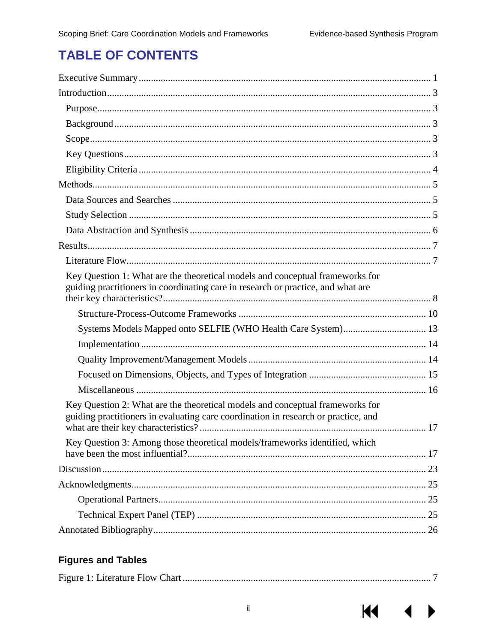**K4** 

# **TABLE OF CONTENTS**

| Key Question 1: What are the theoretical models and conceptual frameworks for<br>guiding practitioners in coordinating care in research or practice, and what are   |  |
|---------------------------------------------------------------------------------------------------------------------------------------------------------------------|--|
|                                                                                                                                                                     |  |
|                                                                                                                                                                     |  |
|                                                                                                                                                                     |  |
|                                                                                                                                                                     |  |
|                                                                                                                                                                     |  |
|                                                                                                                                                                     |  |
|                                                                                                                                                                     |  |
| Key Question 2: What are the theoretical models and conceptual frameworks for<br>guiding practitioners in evaluating care coordination in research or practice, and |  |
| Key Question 3: Among those theoretical models/frameworks identified, which                                                                                         |  |
|                                                                                                                                                                     |  |
|                                                                                                                                                                     |  |
|                                                                                                                                                                     |  |
|                                                                                                                                                                     |  |
|                                                                                                                                                                     |  |

# **Figures and Tables**

|--|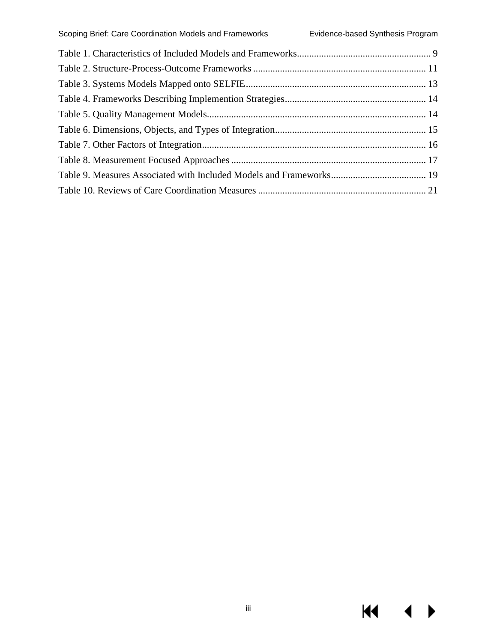$M = 1$ 

 $\blacktriangleright$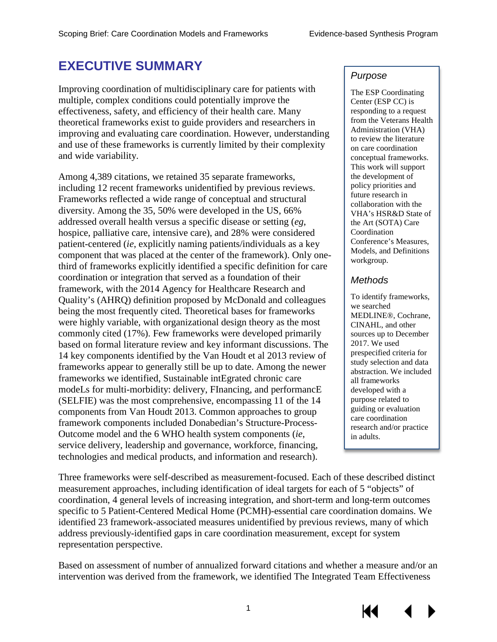# <span id="page-4-0"></span>**EXECUTIVE SUMMARY**

Improving coordination of multidisciplinary care for patients with multiple, complex conditions could potentially improve the effectiveness, safety, and efficiency of their health care. Many theoretical frameworks exist to guide providers and researchers in improving and evaluating care coordination. However, understanding and use of these frameworks is currently limited by their complexity and wide variability.

Among 4,389 citations, we retained 35 separate frameworks, including 12 recent frameworks unidentified by previous reviews. Frameworks reflected a wide range of conceptual and structural diversity. Among the 35, 50% were developed in the US, 66% addressed overall health versus a specific disease or setting (*eg*, hospice, palliative care, intensive care), and 28% were considered patient-centered (*ie*, explicitly naming patients/individuals as a key component that was placed at the center of the framework). Only onethird of frameworks explicitly identified a specific definition for care coordination or integration that served as a foundation of their framework, with the 2014 Agency for Healthcare Research and Quality's (AHRQ) definition proposed by McDonald and colleagues being the most frequently cited. Theoretical bases for frameworks were highly variable, with organizational design theory as the most commonly cited (17%). Few frameworks were developed primarily based on formal literature review and key informant discussions. The 14 key components identified by the Van Houdt et al 2013 review of frameworks appear to generally still be up to date. Among the newer frameworks we identified, Sustainable intEgrated chronic care modeLs for multi-morbidity: delivery, FInancing, and performancE (SELFIE) was the most comprehensive, encompassing 11 of the 14 components from Van Houdt 2013. Common approaches to group framework components included Donabedian's Structure-Process-Outcome model and the 6 WHO health system components (*ie*, service delivery, leadership and governance, workforce, financing, technologies and medical products, and information and research).

#### *Purpose*

The ESP Coordinating Center (ESP CC) is responding to a request from the Veterans Health Administration (VHA) to review the literature on care coordination conceptual frameworks. This work will support the development of policy priorities and future research in collaboration with the VHA's HSR&D State of the Art (SOTA) Care Coordination Conference's Measures, Models, and Definitions workgroup.

#### *Methods*

To identify frameworks, we searched MEDLINE®, Cochrane, CINAHL, and other sources up to December 2017. We used prespecified criteria for study selection and data abstraction. We included all frameworks developed with a purpose related to guiding or evaluation care coordination research and/or practice in adults.

Three frameworks were self-described as measurement-focused. Each of these described distinct measurement approaches, including identification of ideal targets for each of 5 "objects" of coordination, 4 general levels of increasing integration, and short-term and long-term outcomes specific to 5 Patient-Centered Medical Home (PCMH)-essential care coordination domains. We identified 23 framework-associated measures unidentified by previous reviews, many of which address previously-identified gaps in care coordination measurement, except for system representation perspective.

Based on assessment of number of annualized forward citations and whether a measure and/or an intervention was derived from the framework, we identified The Integrated Team Effectiveness

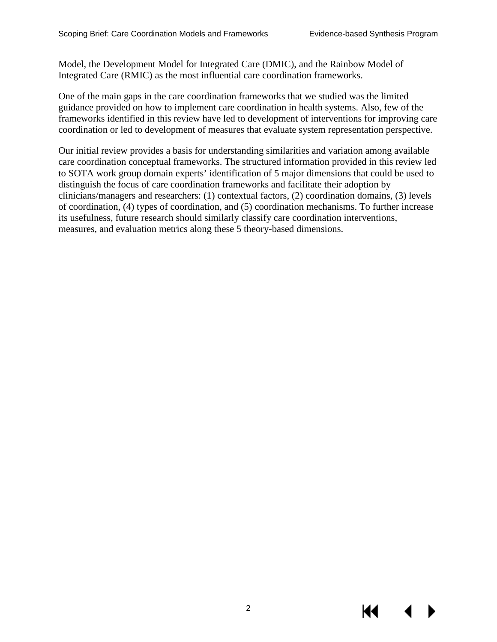Model, the Development Model for Integrated Care (DMIC), and the Rainbow Model of Integrated Care (RMIC) as the most influential care coordination frameworks.

One of the main gaps in the care coordination frameworks that we studied was the limited guidance provided on how to implement care coordination in health systems. Also, few of the frameworks identified in this review have led to development of interventions for improving care coordination or led to development of measures that evaluate system representation perspective.

Our initial review provides a basis for understanding similarities and variation among available care coordination conceptual frameworks. The structured information provided in this review led to SOTA work group domain experts' identification of 5 major dimensions that could be used to distinguish the focus of care coordination frameworks and facilitate their adoption by clinicians/managers and researchers: (1) contextual factors, (2) coordination domains, (3) levels of coordination, (4) types of coordination, and (5) coordination mechanisms. To further increase its usefulness, future research should similarly classify care coordination interventions, measures, and evaluation metrics along these 5 theory-based dimensions.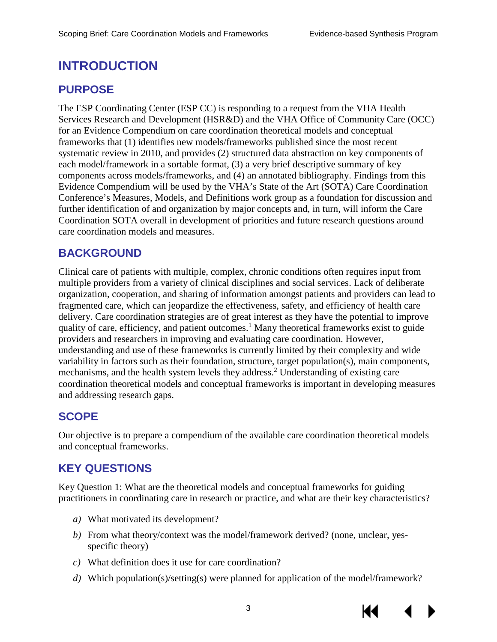# <span id="page-6-0"></span>**INTRODUCTION**

### <span id="page-6-1"></span>**PURPOSE**

The ESP Coordinating Center (ESP CC) is responding to a request from the VHA Health Services Research and Development (HSR&D) and the VHA Office of Community Care (OCC) for an Evidence Compendium on care coordination theoretical models and conceptual frameworks that (1) identifies new models/frameworks published since the most recent systematic review in 2010, and provides (2) structured data abstraction on key components of each model/framework in a sortable format, (3) a very brief descriptive summary of key components across models/frameworks, and (4) an annotated bibliography. Findings from this Evidence Compendium will be used by the VHA's State of the Art (SOTA) Care Coordination Conference's Measures, Models, and Definitions work group as a foundation for discussion and further identification of and organization by major concepts and, in turn, will inform the Care Coordination SOTA overall in development of priorities and future research questions around care coordination models and measures.

### <span id="page-6-2"></span>**BACKGROUND**

Clinical care of patients with multiple, complex, chronic conditions often requires input from multiple providers from a variety of clinical disciplines and social services. Lack of deliberate organization, cooperation, and sharing of information amongst patients and providers can lead to fragmented care, which can jeopardize the effectiveness, safety, and efficiency of health care delivery. Care coordination strategies are of great interest as they have the potential to improve quality of care, efficiency, and patient outcomes.<sup>[1](#page-29-1)</sup> Many theoretical frameworks exist to guide providers and researchers in improving and evaluating care coordination. However, understanding and use of these frameworks is currently limited by their complexity and wide variability in factors such as their foundation, structure, target population(s), main components, mechanisms, and the health system levels they address[.2](#page-30-0) Understanding of existing care coordination theoretical models and conceptual frameworks is important in developing measures and addressing research gaps.

### <span id="page-6-3"></span>**SCOPE**

Our objective is to prepare a compendium of the available care coordination theoretical models and conceptual frameworks.

### <span id="page-6-4"></span>**KEY QUESTIONS**

Key Question 1: What are the theoretical models and conceptual frameworks for guiding practitioners in coordinating care in research or practice*,* and what are their key characteristics?

- *a)* What motivated its development?
- *b)* From what theory/context was the model/framework derived? (none, unclear, yesspecific theory)
- *c)* What definition does it use for care coordination?
- *d)* Which population(s)/setting(s) were planned for application of the model/framework?

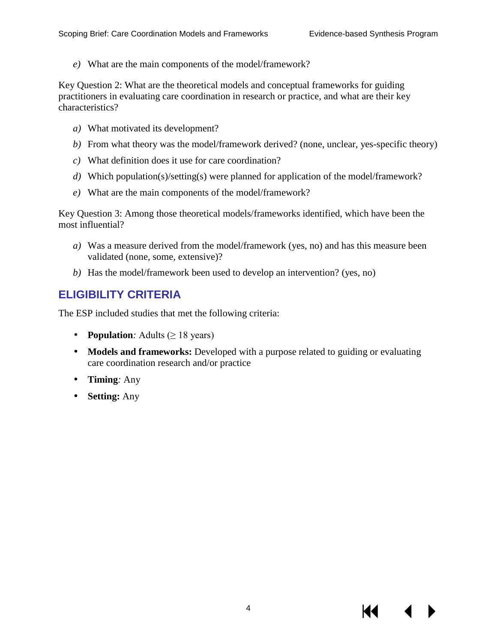*e)* What are the main components of the model/framework?

Key Question 2: What are the theoretical models and conceptual frameworks for guiding practitioners in evaluating care coordination in research or practice*,* and what are their key characteristics?

- *a)* What motivated its development?
- *b)* From what theory was the model/framework derived? (none, unclear, yes-specific theory)
- *c)* What definition does it use for care coordination?
- *d)* Which population(s)/setting(s) were planned for application of the model/framework?
- *e)* What are the main components of the model/framework?

Key Question 3: Among those theoretical models/frameworks identified, which have been the most influential?

- *a)* Was a measure derived from the model/framework (yes, no) and has this measure been validated (none, some, extensive)?
- *b)* Has the model/framework been used to develop an intervention? (yes, no)

# <span id="page-7-0"></span>**ELIGIBILITY CRITERIA**

The ESP included studies that met the following criteria:

- a. **Population**: Adults (> 18 years)
- $\mathcal{L}^{\text{max}}$ **Models and frameworks:** Developed with a purpose related to guiding or evaluating care coordination research and/or practice
- **Timing***:* Any
- **Setting:** Any $\mathcal{L}^{\text{max}}$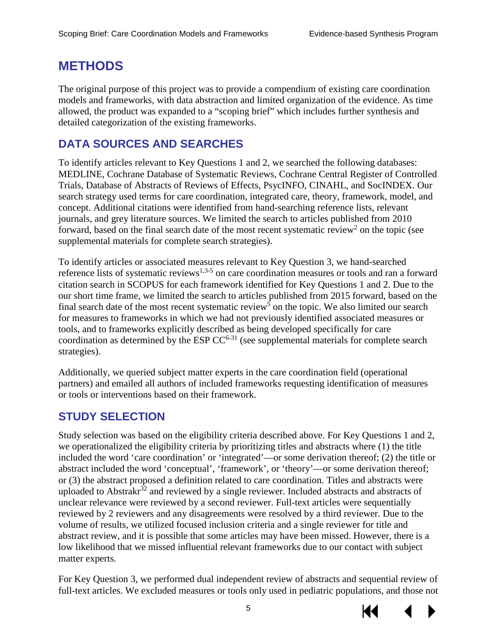# <span id="page-8-0"></span>**METHODS**

The original purpose of this project was to provide a compendium of existing care coordination models and frameworks, with data abstraction and limited organization of the evidence. As time allowed, the product was expanded to a "scoping brief" which includes further synthesis and detailed categorization of the existing frameworks.

# <span id="page-8-1"></span>**DATA SOURCES AND SEARCHES**

To identify articles relevant to Key Questions 1 and 2, we searched the following databases: MEDLINE, Cochrane Database of Systematic Reviews, Cochrane Central Register of Controlled Trials, Database of Abstracts of Reviews of Effects, PsycINFO, CINAHL, and SocINDEX. Our search strategy used terms for care coordination, integrated care, theory, framework, model, and concept. Additional citations were identified from hand-searching reference lists, relevant journals, and grey literature sources. We limited the search to articles published from 2010 forward, based on the final search date of the most recent systematic review<sup>[2](#page-30-0)</sup> on the topic (see supplemental materials for complete search strategies).

To identify articles or associated measures relevant to Key Question 3, we hand-searched reference lists of systematic reviews<sup>[1,](#page-29-2)[3-5](#page-30-1)</sup> on care coordination measures or tools and ran a forward citation search in SCOPUS for each framework identified for Key Questions 1 and 2. Due to the our short time frame, we limited the search to articles published from 2015 forward, based on the final search date of the most recent systematic review<sup>5</sup> on the topic. We also limited our search for measures to frameworks in which we had not previously identified associated measures or tools, and to frameworks explicitly described as being developed specifically for care coordination as determined by the ESP  $CC^{6-31}$  $CC^{6-31}$  $CC^{6-31}$  (see supplemental materials for complete search strategies).

Additionally, we queried subject matter experts in the care coordination field (operational partners) and emailed all authors of included frameworks requesting identification of measures or tools or interventions based on their framework.

### <span id="page-8-2"></span>**STUDY SELECTION**

Study selection was based on the eligibility criteria described above. For Key Questions 1 and 2, we operationalized the eligibility criteria by prioritizing titles and abstracts where (1) the title included the word 'care coordination' or 'integrated'—or some derivation thereof; (2) the title or abstract included the word 'conceptual', 'framework', or 'theory'—or some derivation thereof; or (3) the abstract proposed a definition related to care coordination. Titles and abstracts were uploaded to Abstrakr $^{32}$  and reviewed by a single reviewer. Included abstracts and abstracts of unclear relevance were reviewed by a second reviewer. Full-text articles were sequentially reviewed by 2 reviewers and any disagreements were resolved by a third reviewer. Due to the volume of results, we utilized focused inclusion criteria and a single reviewer for title and abstract review, and it is possible that some articles may have been missed. However, there is a low likelihood that we missed influential relevant frameworks due to our contact with subject matter experts.

For Key Question 3, we performed dual independent review of abstracts and sequential review of full-text articles. We excluded measures or tools only used in pediatric populations, and those not

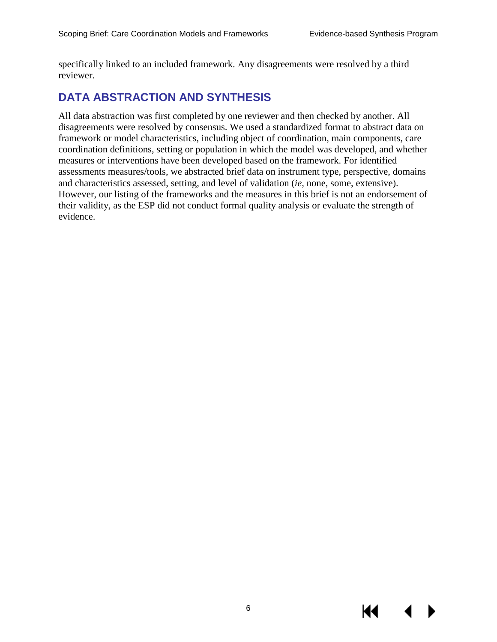К€

specifically linked to an included framework. Any disagreements were resolved by a third reviewer.

### <span id="page-9-0"></span>**DATA ABSTRACTION AND SYNTHESIS**

All data abstraction was first completed by one reviewer and then checked by another. All disagreements were resolved by consensus. We used a standardized format to abstract data on framework or model characteristics, including object of coordination, main components, care coordination definitions, setting or population in which the model was developed, and whether measures or interventions have been developed based on the framework. For identified assessments measures/tools, we abstracted brief data on instrument type, perspective, domains and characteristics assessed, setting, and level of validation (*ie,* none, some, extensive). However, our listing of the frameworks and the measures in this brief is not an endorsement of their validity, as the ESP did not conduct formal quality analysis or evaluate the strength of evidence.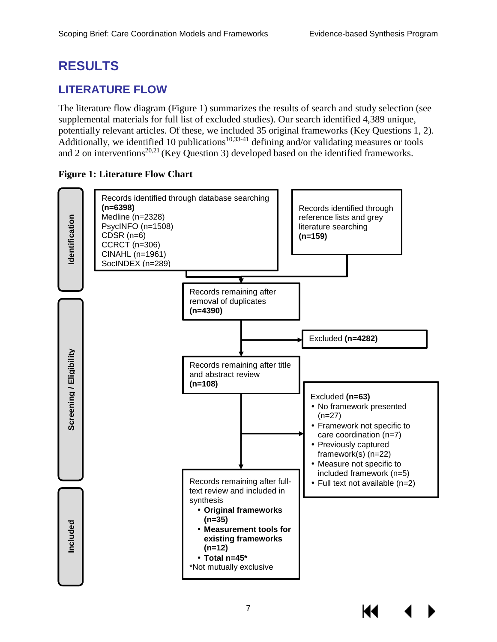# <span id="page-10-0"></span>**RESULTS**

### <span id="page-10-1"></span>**LITERATURE FLOW**

The literature flow diagram (Figure 1) summarizes the results of search and study selection (see supplemental materials for full list of excluded studies). Our search identified 4,389 unique, potentially relevant articles. Of these, we included 35 original frameworks (Key Questions 1, 2). Additionally, we identified 10 publications<sup>[10,](#page-34-0)33-41</sup> defining and/or validating measures or tools and 2 on interventions<sup>[20](#page-38-0)[,21](#page-38-1)</sup> (Key Question 3) developed based on the identified frameworks.

#### <span id="page-10-2"></span>**Figure 1: Literature Flow Chart**

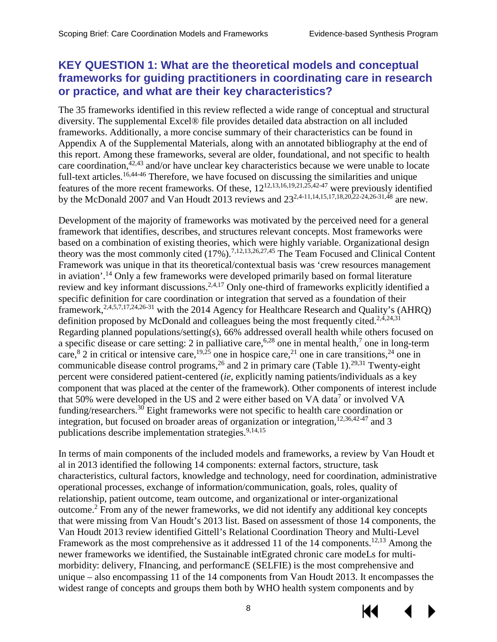### <span id="page-11-0"></span>**KEY QUESTION 1: What are the theoretical models and conceptual frameworks for guiding practitioners in coordinating care in research or practice***,* **and what are their key characteristics?**

The 35 frameworks identified in this review reflected a wide range of conceptual and structural diversity. The supplemental Excel® file provides detailed data abstraction on all included frameworks. Additionally, a more concise summary of their characteristics can be found in Appendix A of the Supplemental Materials, along with an annotated bibliography at the end of this report. Among these frameworks, several are older, foundational, and not specific to health care coordination[,42,](#page-46-0)[43](#page-46-1) and/or have unclear key characteristics because we were unable to locate full-text articles.<sup>[16,](#page-37-0)[44-46](#page-46-2)</sup> Therefore, we have focused on discussing the similarities and unique features of the more recent frameworks. Of these,  $12^{12,13,16,19,21,25,42-47}$  $12^{12,13,16,19,21,25,42-47}$  $12^{12,13,16,19,21,25,42-47}$  $12^{12,13,16,19,21,25,42-47}$  $12^{12,13,16,19,21,25,42-47}$  $12^{12,13,16,19,21,25,42-47}$  $12^{12,13,16,19,21,25,42-47}$  $12^{12,13,16,19,21,25,42-47}$  were previously identified by the McDonald 2007 and Van Houdt 2013 reviews and  $23^{2,4-11,14,15,17,18,20,22-24,26-31,48}$  $23^{2,4-11,14,15,17,18,20,22-24,26-31,48}$  $23^{2,4-11,14,15,17,18,20,22-24,26-31,48}$  $23^{2,4-11,14,15,17,18,20,22-24,26-31,48}$  $23^{2,4-11,14,15,17,18,20,22-24,26-31,48}$  $23^{2,4-11,14,15,17,18,20,22-24,26-31,48}$  $23^{2,4-11,14,15,17,18,20,22-24,26-31,48}$  $23^{2,4-11,14,15,17,18,20,22-24,26-31,48}$  $23^{2,4-11,14,15,17,18,20,22-24,26-31,48}$  $23^{2,4-11,14,15,17,18,20,22-24,26-31,48}$  $23^{2,4-11,14,15,17,18,20,22-24,26-31,48}$  are new.

Development of the majority of frameworks was motivated by the perceived need for a general framework that identifies, describes, and structures relevant concepts. Most frameworks were based on a combination of existing theories, which were highly variable. Organizational design theory was the most commonly cited (17%).<sup>[7,](#page-32-1)[12](#page-35-0)[,13](#page-35-1)[,26](#page-40-0)[,27](#page-40-1)[,45](#page-46-4)</sup> The Team Focused and Clinical Content Framework was unique in that its theoretical/contextual basis was 'crew resources management in aviation'[.14](#page-36-2) Only a few frameworks were developed primarily based on formal literature review and key informant discussions.<sup>2,[4,](#page-31-1)[17](#page-37-2)</sup> Only one-third of frameworks explicitly identified a specific definition for care coordination or integration that served as a foundation of their framework,[2,](#page-30-2)[4,](#page-31-1)[5,](#page-31-2)[7,](#page-32-1)[17,](#page-37-2)[24,](#page-39-1)[26-31](#page-40-0) with the 2014 Agency for Healthcare Research and Quality's (AHRQ) definition proposed by McDonald and colleagues being the most frequently cited.<sup>[2](#page-30-2)[,4](#page-31-1)[,24](#page-39-1)[,31](#page-42-0)</sup> Regarding planned populations/setting(s), 66% addressed overall health while others focused on a sp[eci](#page-33-1)fic disease or care setting: 2 in palliative care,  $6.28$  $6.28$  one in mental health,<sup>7</sup> one in long-term care,<sup>8</sup> 2 in critical or intensive care,<sup>[19,](#page-37-1)[25](#page-39-0)</sup> one in hospice care,<sup>21</sup> one in care transitions,<sup>24</sup> one in communicable disease control programs,  $2<sup>6</sup>$  and 2 in primary care (Table 1).  $2<sup>9,31</sup>$  $2<sup>9,31</sup>$  $2<sup>9,31</sup>$  Twenty-eight percent were considered patient-centered (*ie*, explicitly naming patients/individuals as a key component that was placed at the center of the framework). Other components of interest include that 50% were developed in the US and 2 were either based on VA data<sup>7</sup> or involved VA funding/researchers.<sup>[30](#page-42-1)</sup> Eight frameworks were not specific to health care coordination or integration, but focused on broader areas of organization or integration,<sup>12[,36](#page-44-0)[,42-47](#page-46-0)</sup> and 3 publications describe implementation strategies. $9,14,15$  $9,14,15$  $9,14,15$ 

In terms of main components of the included models and frameworks, a review by Van Houdt et al in 2013 identified the following 14 components: external factors, structure, task characteristics, cultural factors, knowledge and technology, need for coordination, administrative operational processes, exchange of information/communication, goals, roles, quality of relationship, patient outcome, team outcome, and organizational or inter-organizational outcome.[2](#page-30-0) From any of the newer frameworks, we did not identify any additional key concepts that were missing from Van Houdt's 2013 list. Based on assessment of those 14 components, the Van Houdt 2013 review identified Gittell's Relational Coordination Theory and Multi-Level Framework as the most comprehensive as it addressed 11 of the 14 components.<sup>[12,](#page-35-0)[13](#page-35-1)</sup> Among the newer frameworks we identified, the Sustainable intEgrated chronic care modeLs for multimorbidity: delivery, FInancing, and performancE (SELFIE) is the most comprehensive and unique – also encompassing 11 of the 14 components from Van Houdt 2013. It encompasses the widest range of concepts and groups them both by WHO health system components and by

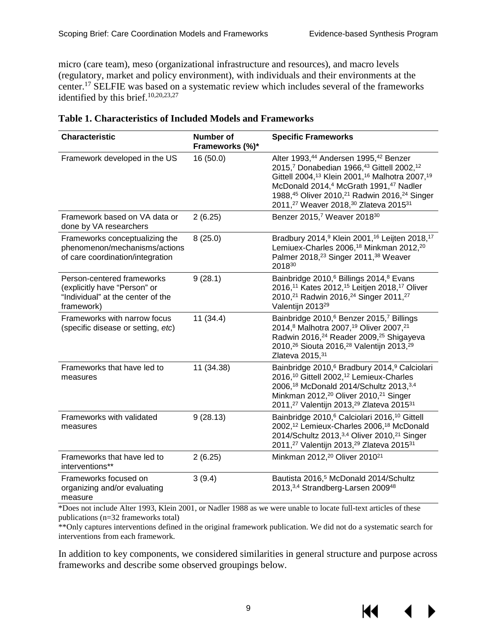К1

micro (care team), meso (organizational infrastructure and resources), and macro levels (regulatory, market and policy environment), with individuals and their environments at the cente[r.17](#page-37-4) SELFIE was based on a systematic review which includes several of the frameworks identified by this brief. [10](#page-34-0)[,20](#page-38-0)[,23](#page-38-4)[,27](#page-40-1) 

| <b>Characteristic</b>                                                                                         | <b>Number of</b><br>Frameworks (%)* | <b>Specific Frameworks</b>                                                                                                                                                                                                                                                                                                                                                 |
|---------------------------------------------------------------------------------------------------------------|-------------------------------------|----------------------------------------------------------------------------------------------------------------------------------------------------------------------------------------------------------------------------------------------------------------------------------------------------------------------------------------------------------------------------|
| Framework developed in the US                                                                                 | 16(50.0)                            | Alter 1993,44 Andersen 1995,42 Benzer<br>2015,7 Donabedian 1966,43 Gittell 2002,12<br>Gittell 2004, <sup>13</sup> Klein 2001, <sup>16</sup> Malhotra 2007, <sup>19</sup><br>McDonald 2014, <sup>4</sup> McGrath 1991, <sup>47</sup> Nadler<br>1988, 45 Oliver 2010, 21 Radwin 2016, 24 Singer<br>2011, <sup>27</sup> Weaver 2018, <sup>30</sup> Zlateva 2015 <sup>31</sup> |
| Framework based on VA data or<br>done by VA researchers                                                       | 2(6.25)                             | Benzer 2015,7 Weaver 2018 <sup>30</sup>                                                                                                                                                                                                                                                                                                                                    |
| Frameworks conceptualizing the<br>phenomenon/mechanisms/actions<br>of care coordination/integration           | 8(25.0)                             | Bradbury 2014, <sup>9</sup> Klein 2001, <sup>16</sup> Leijten 2018, <sup>17</sup><br>Lemiuex-Charles 2006, <sup>18</sup> Minkman 2012, <sup>20</sup><br>Palmer 2018, <sup>23</sup> Singer 2011, <sup>38</sup> Weaver<br>201830                                                                                                                                             |
| Person-centered frameworks<br>(explicitly have "Person" or<br>"Individual" at the center of the<br>framework) | 9(28.1)                             | Bainbridge 2010, <sup>6</sup> Billings 2014, <sup>8</sup> Evans<br>2016, <sup>11</sup> Kates 2012, <sup>15</sup> Leitjen 2018, <sup>17</sup> Oliver<br>2010, <sup>21</sup> Radwin 2016, <sup>24</sup> Singer 2011, <sup>27</sup><br>Valentijn 2013 <sup>29</sup>                                                                                                           |
| Frameworks with narrow focus<br>(specific disease or setting, etc)                                            | 11(34.4)                            | Bainbridge 2010, <sup>6</sup> Benzer 2015, <sup>7</sup> Billings<br>2014,8 Malhotra 2007, <sup>19</sup> Oliver 2007, <sup>21</sup><br>Radwin 2016, <sup>24</sup> Reader 2009, <sup>25</sup> Shigayeva<br>2010, <sup>26</sup> Siouta 2016, <sup>28</sup> Valentijn 2013, <sup>29</sup><br>Zlateva 2015, 31                                                                  |
| Frameworks that have led to<br>measures                                                                       | 11 (34.38)                          | Bainbridge 2010, <sup>6</sup> Bradbury 2014, <sup>9</sup> Calciolari<br>2016, <sup>10</sup> Gittell 2002, <sup>12</sup> Lemieux-Charles<br>2006, <sup>18</sup> McDonald 2014/Schultz 2013, <sup>3,4</sup><br>Minkman 2012, <sup>20</sup> Oliver 2010, <sup>21</sup> Singer<br>2011, <sup>27</sup> Valentijn 2013, <sup>29</sup> Zlateva 2015 <sup>31</sup>                 |
| Frameworks with validated<br>measures                                                                         | 9(28.13)                            | Bainbridge 2010, <sup>6</sup> Calciolari 2016, <sup>10</sup> Gittell<br>2002, <sup>12</sup> Lemieux-Charles 2006, <sup>18</sup> McDonald<br>2014/Schultz 2013, 3,4 Oliver 2010, 21 Singer<br>2011, <sup>27</sup> Valentijn 2013, <sup>29</sup> Zlateva 2015 <sup>31</sup>                                                                                                  |
| Frameworks that have led to<br>interventions**                                                                | 2(6.25)                             | Minkman 2012, <sup>20</sup> Oliver 2010 <sup>21</sup>                                                                                                                                                                                                                                                                                                                      |
| Frameworks focused on<br>organizing and/or evaluating<br>measure                                              | 3(9.4)                              | Bautista 2016, <sup>5</sup> McDonald 2014/Schultz<br>2013, 3,4 Strandberg-Larsen 200948                                                                                                                                                                                                                                                                                    |

#### <span id="page-12-0"></span>**Table 1. Characteristics of Included Models and Frameworks**

\*Does not include Alter 1993, Klein 2001, or Nadler 1988 as we were unable to locate full-text articles of these publications (n=32 frameworks total)

\*\*Only captures interventions defined in the original framework publication. We did not do a systematic search for interventions from each framework.

In addition to key components, we considered similarities in general structure and purpose across frameworks and describe some observed groupings below.

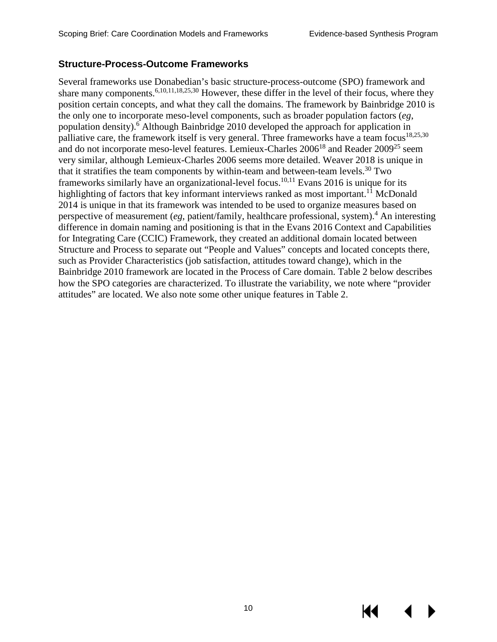#### <span id="page-13-0"></span>**Structure-Process-Outcome Frameworks**

Several frameworks use Donabedian's basic structure-process-outcome (SPO) framework and share many components.<sup>[6](#page-32-2)[,10,](#page-34-0)[11](#page-34-2)[,18](#page-37-3)[,25,](#page-39-0)[30](#page-42-2)</sup> However, these differ in the level of their focus, where they position certain concepts, and what they call the domains. The framework by Bainbridge 2010 is the only one to incorporate meso-level components, such as broader population factors (*eg*, population density).[6](#page-32-2) Although Bainbridge 2010 developed the approach for application in palliative care, the framework itself is very general. Three frameworks have a team focus<sup>[18](#page-37-3)[,25](#page-39-0)[,30](#page-42-2)</sup> and do not incorporate meso-level features. Lemieux-Charles 2006<sup>[18](#page-37-3)</sup> and Reader 2009<sup>25</sup> seem very similar, although Lemieux-Charles 2006 seems more detailed. Weaver 2018 is unique in that it stratifies the team components by within-team and between-team levels.<sup>30</sup> Two frameworks similarly have an organizational-level focus.<sup>10[,11](#page-34-2)</sup> Evans 2016 is unique for its highlighting of factors that key informant interviews ranked as most important.<sup>11</sup> McDonald 2014 is unique in that its framework was intended to be used to organize measures based on perspective of measurement (*eg*, patient/family, healthcare professional, system).<sup>4</sup> An interesting difference in domain naming and positioning is that in the Evans 2016 Context and Capabilities for Integrating Care (CCIC) Framework, they created an additional domain located between Structure and Process to separate out "People and Values" concepts and located concepts there, such as Provider Characteristics (job satisfaction, attitudes toward change), which in the Bainbridge 2010 framework are located in the Process of Care domain. Table 2 below describes how the SPO categories are characterized. To illustrate the variability, we note where "provider attitudes" are located. We also note some other unique features in Table 2.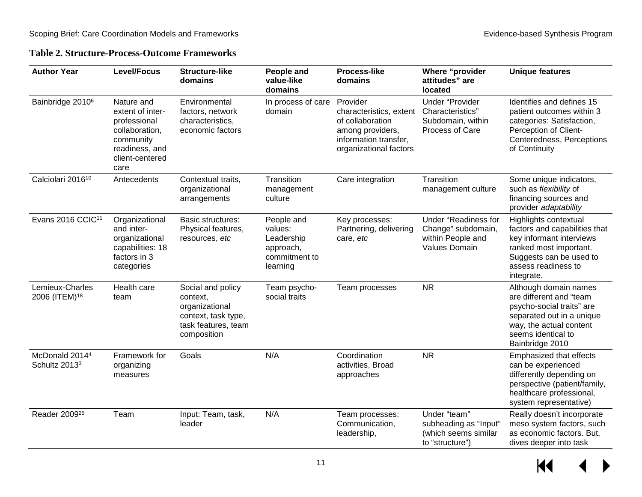#### **Table 2. Structure-Process-Outcome Frameworks**

<span id="page-14-0"></span>

| <b>Author Year</b>                                      | <b>Level/Focus</b>                                                                                                         | <b>Structure-like</b><br>domains                                                                             | People and<br>value-like<br>domains                                           | <b>Process-like</b><br>domains                                                                                                 | Where "provider<br>attitudes" are<br>located                                       | <b>Unique features</b>                                                                                                                                                         |
|---------------------------------------------------------|----------------------------------------------------------------------------------------------------------------------------|--------------------------------------------------------------------------------------------------------------|-------------------------------------------------------------------------------|--------------------------------------------------------------------------------------------------------------------------------|------------------------------------------------------------------------------------|--------------------------------------------------------------------------------------------------------------------------------------------------------------------------------|
| Bainbridge 2010 <sup>6</sup>                            | Nature and<br>extent of inter-<br>professional<br>collaboration,<br>community<br>readiness, and<br>client-centered<br>care | Environmental<br>factors, network<br>characteristics,<br>economic factors                                    | In process of care<br>domain                                                  | Provider<br>characteristics, extent<br>of collaboration<br>among providers,<br>information transfer,<br>organizational factors | <b>Under "Provider</b><br>Characteristics"<br>Subdomain, within<br>Process of Care | Identifies and defines 15<br>patient outcomes within 3<br>categories: Satisfaction,<br>Perception of Client-<br>Centeredness, Perceptions<br>of Continuity                     |
| Calciolari 2016 <sup>10</sup>                           | Antecedents                                                                                                                | Contextual traits,<br>organizational<br>arrangements                                                         | Transition<br>management<br>culture                                           | Care integration                                                                                                               | Transition<br>management culture                                                   | Some unique indicators,<br>such as flexibility of<br>financing sources and<br>provider adaptability                                                                            |
| Evans 2016 CCIC <sup>11</sup>                           | Organizational<br>and inter-<br>organizational<br>capabilities: 18<br>factors in 3<br>categories                           | <b>Basic structures:</b><br>Physical features,<br>resources, etc                                             | People and<br>values:<br>Leadership<br>approach,<br>commitment to<br>learning | Key processes:<br>Partnering, delivering<br>care, etc                                                                          | Under "Readiness for<br>Change" subdomain,<br>within People and<br>Values Domain   | Highlights contextual<br>factors and capabilities that<br>key informant interviews<br>ranked most important.<br>Suggests can be used to<br>assess readiness to<br>integrate.   |
| Lemieux-Charles<br>2006 (ITEM) <sup>18</sup>            | Health care<br>team                                                                                                        | Social and policy<br>context,<br>organizational<br>context, task type,<br>task features, team<br>composition | Team psycho-<br>social traits                                                 | Team processes                                                                                                                 | <b>NR</b>                                                                          | Although domain names<br>are different and "team<br>psycho-social traits" are<br>separated out in a unique<br>way, the actual content<br>seems identical to<br>Bainbridge 2010 |
| McDonald 2014 <sup>4</sup><br>Schultz 2013 <sup>3</sup> | Framework for<br>organizing<br>measures                                                                                    | Goals                                                                                                        | N/A                                                                           | Coordination<br>activities, Broad<br>approaches                                                                                | <b>NR</b>                                                                          | Emphasized that effects<br>can be experienced<br>differently depending on<br>perspective (patient/family,<br>healthcare professional,<br>system representative)                |
| Reader 2009 <sup>25</sup>                               | Team                                                                                                                       | Input: Team, task,<br>leader                                                                                 | N/A                                                                           | Team processes:<br>Communication,<br>leadership,                                                                               | Under "team"<br>subheading as "Input"<br>(which seems similar<br>to "structure")   | Really doesn't incorporate<br>meso system factors, such<br>as economic factors. But,<br>dives deeper into task                                                                 |

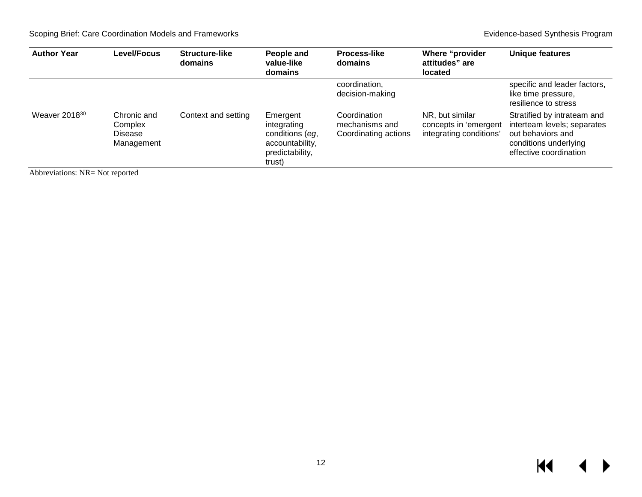Scoping Brief: Care Coordination Models and Frameworks **Evidence-based Synthesis Program** 

| <b>Author Year</b> | Level/Focus                                            | Structure-like<br>domains | People and<br>value-like<br>domains                                                        | <b>Process-like</b><br>domains                         | Where "provider<br>attitudes" are<br><b>located</b>                 | Unique features                                                                                                                    |
|--------------------|--------------------------------------------------------|---------------------------|--------------------------------------------------------------------------------------------|--------------------------------------------------------|---------------------------------------------------------------------|------------------------------------------------------------------------------------------------------------------------------------|
|                    |                                                        |                           |                                                                                            | coordination.<br>decision-making                       |                                                                     | specific and leader factors,<br>like time pressure,<br>resilience to stress                                                        |
| Weaver $2018^{30}$ | Chronic and<br>Complex<br><b>Disease</b><br>Management | Context and setting       | Emergent<br>integrating<br>conditions (eg,<br>accountability,<br>predictability,<br>trust) | Coordination<br>mechanisms and<br>Coordinating actions | NR, but similar<br>concepts in 'emergent<br>integrating conditions' | Stratified by intrateam and<br>interteam levels; separates<br>out behaviors and<br>conditions underlying<br>effective coordination |

Abbreviations: NR= Not reported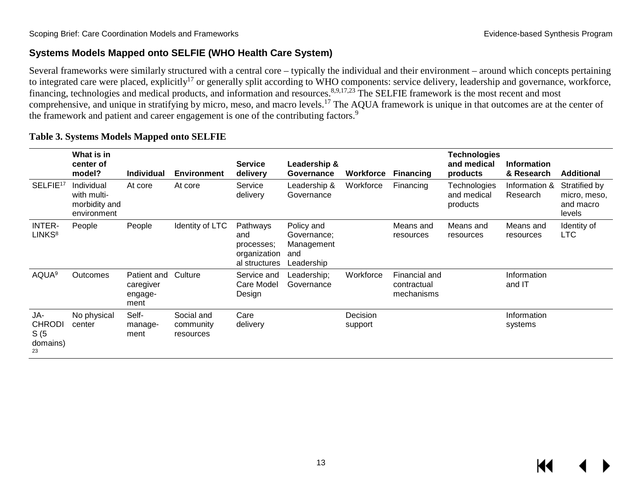#### **Systems Models Mapped onto SELFIE (WHO Health Care System)**

Several frameworks were similarly structured with a central core – typically the individual and their environment – around which concepts pertaining to integrated care were placed, explicitly<sup>17</sup> or generally split according to WHO components: service delivery, leadership and governance, workforce, financing, technologies and medical products, and information and resources.<sup>8[,9](#page-33-3)[,17](#page-37-5)[,23](#page-38-5)</sup> The SELFIE framework is the most recent and most comprehensive, and unique in stratifying by micro, meso, and macro levels.<sup>17</sup> The AQUA framework is unique in that outcomes are at the center of the framework and patient and career engagement is one of the contributing factors.<sup>9</sup>

<span id="page-16-1"></span><span id="page-16-0"></span>

|                                                | What is in<br>center of<br>model?                         | <b>Individual</b>                           | <b>Environment</b>                   | <b>Service</b><br>delivery                                     | Leadership &<br>Governance                                   | <b>Workforce</b>    | <b>Financing</b>                           | <b>Technologies</b><br>and medical<br>products | <b>Information</b><br>& Research | <b>Additional</b>                                    |
|------------------------------------------------|-----------------------------------------------------------|---------------------------------------------|--------------------------------------|----------------------------------------------------------------|--------------------------------------------------------------|---------------------|--------------------------------------------|------------------------------------------------|----------------------------------|------------------------------------------------------|
| SELFIE <sup>17</sup>                           | Individual<br>with multi-<br>morbidity and<br>environment | At core                                     | At core                              | Service<br>delivery                                            | Leadership &<br>Governance                                   | Workforce           | Financing                                  | Technologies<br>and medical<br>products        | Information &<br>Research        | Stratified by<br>micro, meso,<br>and macro<br>levels |
| INTER-<br>LINKS <sup>8</sup>                   | People                                                    | People                                      | Identity of LTC                      | Pathways<br>and<br>processes:<br>organization<br>al structures | Policy and<br>Governance;<br>Management<br>and<br>Leadership |                     | Means and<br>resources                     | Means and<br>resources                         | Means and<br>resources           | Identity of<br><b>LTC</b>                            |
| AQUA <sup>9</sup>                              | Outcomes                                                  | Patient and<br>caregiver<br>engage-<br>ment | Culture                              | Service and<br>Care Model<br>Design                            | Leadership;<br>Governance                                    | Workforce           | Financial and<br>contractual<br>mechanisms |                                                | Information<br>and IT            |                                                      |
| JA-<br><b>CHRODI</b><br>S(5)<br>domains)<br>23 | No physical<br>center                                     | Self-<br>manage-<br>ment                    | Social and<br>community<br>resources | Care<br>delivery                                               |                                                              | Decision<br>support |                                            |                                                | Information<br>systems           |                                                      |

#### **Table 3. Systems Models Mapped onto SELFIE**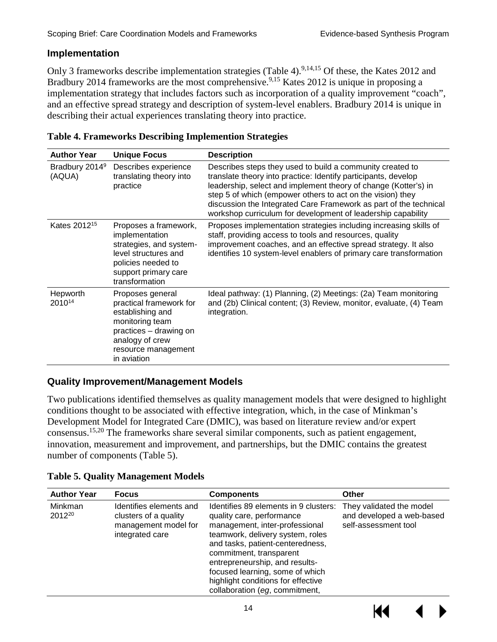KI

#### <span id="page-17-0"></span>**Implementation**

Only 3 frameworks describe implementation strategies (Table 4).<sup>9,[14,](#page-36-0)15</sup> Of these, the Kates 2012 and Bradbury 2014 frameworks are the most comprehensive.<sup>9,15</sup> Kates 2012 is unique in proposing a implementation strategy that includes factors such as incorporation of a quality improvement "coach", and an effective spread strategy and description of system-level enablers. Bradbury 2014 is unique in describing their actual experiences translating theory into practice.

| <b>Author Year</b>                   | <b>Unique Focus</b>                                                                                                                                                   | <b>Description</b>                                                                                                                                                                                                                                                                                                                                                                                |
|--------------------------------------|-----------------------------------------------------------------------------------------------------------------------------------------------------------------------|---------------------------------------------------------------------------------------------------------------------------------------------------------------------------------------------------------------------------------------------------------------------------------------------------------------------------------------------------------------------------------------------------|
| Bradbury 2014 <sup>9</sup><br>(AQUA) | Describes experience<br>translating theory into<br>practice                                                                                                           | Describes steps they used to build a community created to<br>translate theory into practice: Identify participants, develop<br>leadership, select and implement theory of change (Kotter's) in<br>step 5 of which (empower others to act on the vision) they<br>discussion the Integrated Care Framework as part of the technical<br>workshop curriculum for development of leadership capability |
| Kates 2012 <sup>15</sup>             | Proposes a framework,<br>implementation<br>strategies, and system-<br>level structures and<br>policies needed to<br>support primary care<br>transformation            | Proposes implementation strategies including increasing skills of<br>staff, providing access to tools and resources, quality<br>improvement coaches, and an effective spread strategy. It also<br>identifies 10 system-level enablers of primary care transformation                                                                                                                              |
| Hepworth<br>201014                   | Proposes general<br>practical framework for<br>establishing and<br>monitoring team<br>practices - drawing on<br>analogy of crew<br>resource management<br>in aviation | Ideal pathway: (1) Planning, (2) Meetings: (2a) Team monitoring<br>and (2b) Clinical content; (3) Review, monitor, evaluate, (4) Team<br>integration.                                                                                                                                                                                                                                             |

#### <span id="page-17-2"></span>**Table 4. Frameworks Describing Implemention Strategies**

#### <span id="page-17-1"></span>**Quality Improvement/Management Models**

Two publications identified themselves as quality management models that were designed to highlight conditions thought to be associated with effective integration, which, in the case of Minkman's Development Model for Integrated Care (DMIC), was based on literature review and/or expert consensus[.15](#page-36-1)[,20](#page-38-0) The frameworks share several similar components, such as patient engagement, innovation, measurement and improvement, and partnerships, but the DMIC contains the greatest number of components (Table 5).

<span id="page-17-3"></span>

|  | <b>Table 5. Quality Management Models</b> |  |
|--|-------------------------------------------|--|
|  |                                           |  |

| <b>Author Year</b>            | <b>Focus</b>                                                                                | <b>Components</b>                                                                                                                                                                                                                                                                                                                                    | <b>Other</b>                                                                  |
|-------------------------------|---------------------------------------------------------------------------------------------|------------------------------------------------------------------------------------------------------------------------------------------------------------------------------------------------------------------------------------------------------------------------------------------------------------------------------------------------------|-------------------------------------------------------------------------------|
| Minkman<br>2012 <sup>20</sup> | Identifies elements and<br>clusters of a quality<br>management model for<br>integrated care | Identifies 89 elements in 9 clusters:<br>quality care, performance<br>management, inter-professional<br>teamwork, delivery system, roles<br>and tasks, patient-centeredness,<br>commitment, transparent<br>entrepreneurship, and results-<br>focused learning, some of which<br>highlight conditions for effective<br>collaboration (eg, commitment, | They validated the model<br>and developed a web-based<br>self-assessment tool |
|                               |                                                                                             |                                                                                                                                                                                                                                                                                                                                                      |                                                                               |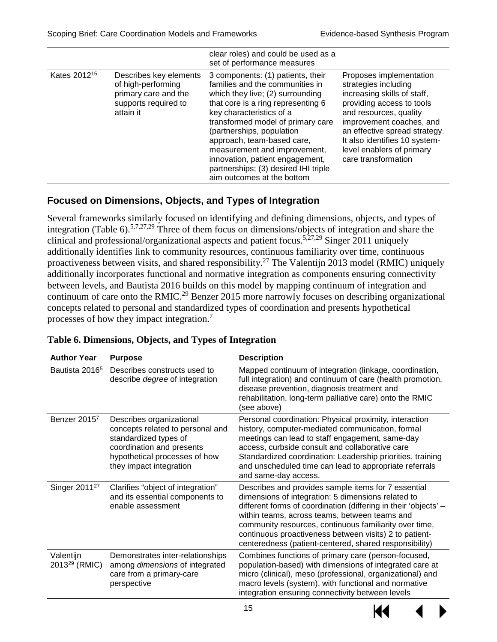К€

|                          |                                                                                                           | clear roles) and could be used as a<br>set of performance measures                                                                                                                                                                                                                                                                                                                                                  |                                                                                                                                                                                                                                                                                         |
|--------------------------|-----------------------------------------------------------------------------------------------------------|---------------------------------------------------------------------------------------------------------------------------------------------------------------------------------------------------------------------------------------------------------------------------------------------------------------------------------------------------------------------------------------------------------------------|-----------------------------------------------------------------------------------------------------------------------------------------------------------------------------------------------------------------------------------------------------------------------------------------|
| Kates 2012 <sup>15</sup> | Describes key elements<br>of high-performing<br>primary care and the<br>supports required to<br>attain it | 3 components: (1) patients, their<br>families and the communities in<br>which they live; (2) surrounding<br>that core is a ring representing 6<br>key characteristics of a<br>transformed model of primary care<br>(partnerships, population<br>approach, team-based care,<br>measurement and improvement,<br>innovation, patient engagement,<br>partnerships; (3) desired IHI triple<br>aim outcomes at the bottom | Proposes implementation<br>strategies including<br>increasing skills of staff,<br>providing access to tools<br>and resources, quality<br>improvement coaches, and<br>an effective spread strategy.<br>It also identifies 10 system-<br>level enablers of primary<br>care transformation |

#### <span id="page-18-0"></span>**Focused on Dimensions, Objects, and Types of Integration**

Several frameworks similarly focused on identifying and defining dimensions, objects, and types of integration (Table 6). [5,](#page-31-2)[7,](#page-32-1)[27,](#page-40-1)[29](#page-41-1) Three of them focus on dimensions/objects of integration and share the clinical and professional/organizational aspects and patient focus.<sup>5[,27](#page-40-1),29</sup> Singer 2011 uniquely additionally identifies link to community resources, continuous familiarity over time, continuous proactiveness between visits, and shared responsibility.[27](#page-40-1) The Valentijn 2013 model (RMIC) uniquely additionally incorporates functional and normative integration as components ensuring connectivity between levels, and Bautista 2016 builds on this model by mapping continuum of integration and continuum of care onto the RMIC.<sup>29</sup> Benzer 2015 more narrowly focuses on describing organizational concepts related to personal and standar[dize](#page-32-1)d types of coordination and presents hypothetical processes of how they impact integration.<sup>7</sup>

| <b>Author Year</b>                     | <b>Purpose</b>                                                                                                                                                                 | <b>Description</b>                                                                                                                                                                                                                                                                                                                                                                                          |
|----------------------------------------|--------------------------------------------------------------------------------------------------------------------------------------------------------------------------------|-------------------------------------------------------------------------------------------------------------------------------------------------------------------------------------------------------------------------------------------------------------------------------------------------------------------------------------------------------------------------------------------------------------|
| Bautista 2016 <sup>5</sup>             | Describes constructs used to<br>describe <i>degree</i> of integration                                                                                                          | Mapped continuum of integration (linkage, coordination,<br>full integration) and continuum of care (health promotion,<br>disease prevention, diagnosis treatment and<br>rehabilitation, long-term palliative care) onto the RMIC<br>(see above)                                                                                                                                                             |
| Benzer 2015 <sup>7</sup>               | Describes organizational<br>concepts related to personal and<br>standardized types of<br>coordination and presents<br>hypothetical processes of how<br>they impact integration | Personal coordination: Physical proximity, interaction<br>history, computer-mediated communication, formal<br>meetings can lead to staff engagement, same-day<br>access, curbside consult and collaborative care<br>Standardized coordination: Leadership priorities, training<br>and unscheduled time can lead to appropriate referrals<br>and same-day access.                                            |
| Singer 2011 <sup>27</sup>              | Clarifies "object of integration"<br>and its essential components to<br>enable assessment                                                                                      | Describes and provides sample items for 7 essential<br>dimensions of integration: 5 dimensions related to<br>different forms of coordination (differing in their 'objects' -<br>within teams, across teams, between teams and<br>community resources, continuous familiarity over time,<br>continuous proactiveness between visits) 2 to patient-<br>centeredness (patient-centered, shared responsibility) |
| Valentijn<br>2013 <sup>29</sup> (RMIC) | Demonstrates inter-relationships<br>among dimensions of integrated<br>care from a primary-care<br>perspective                                                                  | Combines functions of primary care (person-focused,<br>population-based) with dimensions of integrated care at<br>micro (clinical), meso (professional, organizational) and<br>macro levels (system), with functional and normative<br>integration ensuring connectivity between levels                                                                                                                     |

#### <span id="page-18-1"></span>**Table 6. Dimensions, Objects, and Types of Integration**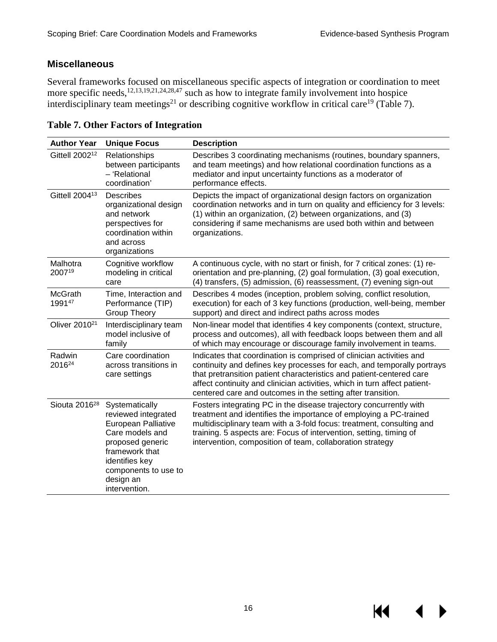**KK** 

### <span id="page-19-0"></span>**Miscellaneous**

Several frameworks focused on miscellaneous specific aspects of integration or coordination to meet more specific needs,<sup>[12,](#page-35-0)[13,](#page-35-1)[19,](#page-37-1)[21,](#page-38-1)[24,](#page-39-1)[28,](#page-41-0)47</sup> such as how to integrate family involvement into hospice interdisciplinary team meetings<sup>[21](#page-38-1)</sup> or describing cognitive workflow in critical care<sup>19</sup> (Table 7).

| <b>Author Year</b>         | <b>Unique Focus</b>                                                                                                                                                                           | <b>Description</b>                                                                                                                                                                                                                                                                                                                                                 |
|----------------------------|-----------------------------------------------------------------------------------------------------------------------------------------------------------------------------------------------|--------------------------------------------------------------------------------------------------------------------------------------------------------------------------------------------------------------------------------------------------------------------------------------------------------------------------------------------------------------------|
| Gittell 2002 <sup>12</sup> | Relationships<br>between participants<br>- 'Relational<br>coordination'                                                                                                                       | Describes 3 coordinating mechanisms (routines, boundary spanners,<br>and team meetings) and how relational coordination functions as a<br>mediator and input uncertainty functions as a moderator of<br>performance effects.                                                                                                                                       |
| Gittell 2004 <sup>13</sup> | <b>Describes</b><br>organizational design<br>and network<br>perspectives for<br>coordination within<br>and across<br>organizations                                                            | Depicts the impact of organizational design factors on organization<br>coordination networks and in turn on quality and efficiency for 3 levels:<br>(1) within an organization, (2) between organizations, and (3)<br>considering if same mechanisms are used both within and between<br>organizations.                                                            |
| Malhotra<br>200719         | Cognitive workflow<br>modeling in critical<br>care                                                                                                                                            | A continuous cycle, with no start or finish, for 7 critical zones: (1) re-<br>orientation and pre-planning, (2) goal formulation, (3) goal execution,<br>(4) transfers, (5) admission, (6) reassessment, (7) evening sign-out                                                                                                                                      |
| <b>McGrath</b><br>199147   | Time, Interaction and<br>Performance (TIP)<br><b>Group Theory</b>                                                                                                                             | Describes 4 modes (inception, problem solving, conflict resolution,<br>execution) for each of 3 key functions (production, well-being, member<br>support) and direct and indirect paths across modes                                                                                                                                                               |
| Oliver 2010 <sup>21</sup>  | Interdisciplinary team<br>model inclusive of<br>family                                                                                                                                        | Non-linear model that identifies 4 key components (context, structure,<br>process and outcomes), all with feedback loops between them and all<br>of which may encourage or discourage family involvement in teams.                                                                                                                                                 |
| Radwin<br>201624           | Care coordination<br>across transitions in<br>care settings                                                                                                                                   | Indicates that coordination is comprised of clinician activities and<br>continuity and defines key processes for each, and temporally portrays<br>that pretransition patient characteristics and patient-centered care<br>affect continuity and clinician activities, which in turn affect patient-<br>centered care and outcomes in the setting after transition. |
| Siouta 2016 <sup>28</sup>  | Systematically<br>reviewed integrated<br>European Palliative<br>Care models and<br>proposed generic<br>framework that<br>identifies key<br>components to use to<br>design an<br>intervention. | Fosters integrating PC in the disease trajectory concurrently with<br>treatment and identifies the importance of employing a PC-trained<br>multidisciplinary team with a 3-fold focus: treatment, consulting and<br>training. 5 aspects are: Focus of intervention, setting, timing of<br>intervention, composition of team, collaboration strategy                |

### <span id="page-19-1"></span>**Table 7. Other Factors of Integration**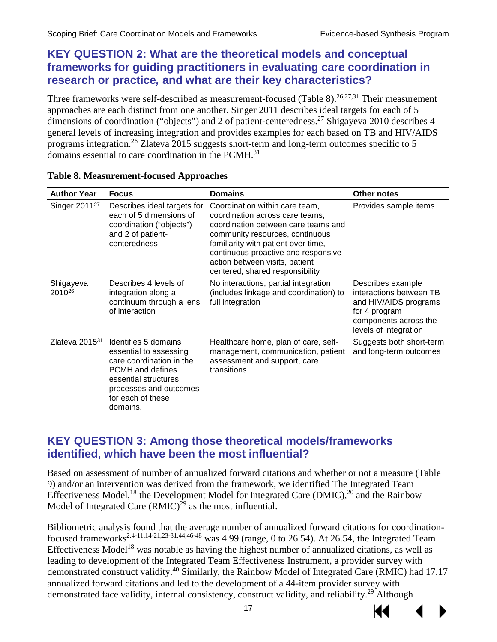### <span id="page-20-0"></span>**KEY QUESTION 2: What are the theoretical models and conceptual frameworks for guiding practitioners in evaluating care coordination in research or practice***,* **and what are their key characteristics?**

Three frameworks were self-described as measurement-focused (Table 8).<sup>26,[27,](#page-40-1)[31](#page-42-0)</sup> Their measurement approaches are each distinct from one another. Singer 2011 describes ideal targets for each of 5 dimensions of coordination ("objects") and 2 of patient-centeredness.<sup>27</sup> Shigayeva 2010 describes 4 general levels of increasing integration and provides examples for each based on TB and HIV/AIDS programs integration.[26](#page-40-0) Zlateva 2015 suggests short-term and long-term outcomes specific to 5 domains essential to care coordination in the PCMH.<sup>31</sup>

| <b>Author Year</b>              | <b>Focus</b>                                                                                                                                                                              | <b>Domains</b>                                                                                                                                                                                                                                                                                 | Other notes                                                                                                                              |
|---------------------------------|-------------------------------------------------------------------------------------------------------------------------------------------------------------------------------------------|------------------------------------------------------------------------------------------------------------------------------------------------------------------------------------------------------------------------------------------------------------------------------------------------|------------------------------------------------------------------------------------------------------------------------------------------|
| Singer 2011 <sup>27</sup>       | Describes ideal targets for<br>each of 5 dimensions of<br>coordination ("objects")<br>and 2 of patient-<br>centeredness                                                                   | Coordination within care team,<br>coordination across care teams,<br>coordination between care teams and<br>community resources, continuous<br>familiarity with patient over time,<br>continuous proactive and responsive<br>action between visits, patient<br>centered, shared responsibility | Provides sample items                                                                                                                    |
| Shigayeva<br>2010 <sup>26</sup> | Describes 4 levels of<br>integration along a<br>continuum through a lens<br>of interaction                                                                                                | No interactions, partial integration<br>(includes linkage and coordination) to<br>full integration                                                                                                                                                                                             | Describes example<br>interactions between TB<br>and HIV/AIDS programs<br>for 4 program<br>components across the<br>levels of integration |
| Zlateva 2015 $31$               | Identifies 5 domains<br>essential to assessing<br>care coordination in the<br><b>PCMH</b> and defines<br>essential structures,<br>processes and outcomes<br>for each of these<br>domains. | Healthcare home, plan of care, self-<br>management, communication, patient<br>assessment and support, care<br>transitions                                                                                                                                                                      | Suggests both short-term<br>and long-term outcomes                                                                                       |

#### <span id="page-20-2"></span>**Table 8. Measurement-focused Approaches**

### <span id="page-20-1"></span>**KEY QUESTION 3: Among those theoretical models/frameworks identified, which have been the most influential?**

Based on assessment of number of annualized forward citations and whether or not a measure (Table 9) and/or an intervention was derived from the framework, we identified The Integrated Team Effectiveness Model,<sup>[18](#page-37-4)</sup> the Development Model for Integrated Care (DMIC),<sup>20</sup> and the Rainbow Model of Integrated Care  $(RMIC)^{29}$  as the most influential.

Bibliometric analysis found that the average number of annualized forward citations for coordinationfocused frameworks[2,](#page-30-2)[4-11,](#page-31-1)[14-21,](#page-36-0)[23-31](#page-38-4)[,44](#page-46-2)[,46-48](#page-46-7) was 4.99 (range, 0 to 26.54). At 26.54, the Integrated Team Effectiveness Model<sup>18</sup> was notable as having the highest number of annualized citations, as well as leading to development of the [Integ](#page-46-5)rated Team Effectiveness Instrument, a provider survey with demonstrated construct validity.<sup>40</sup> Similarly, the Rainbow Model of Integrated Care (RMIC) had 17.17 annualized forward citations and led to the development of a 44-item provider survey with demonstrated face validity, internal consistency, construct validity, and reliability.<sup>29</sup> Although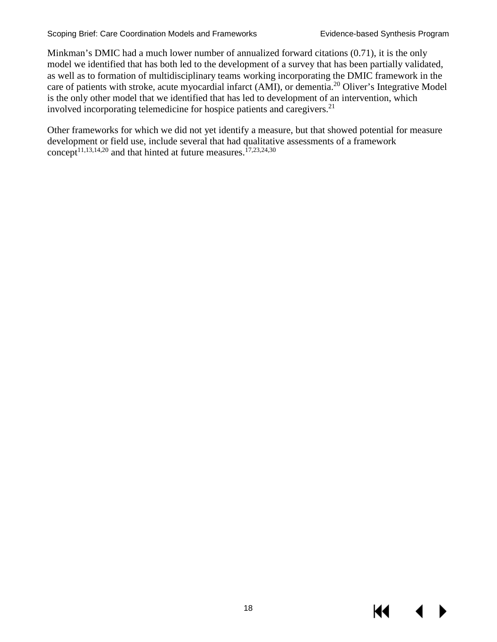KI

Minkman's DMIC had a much lower number of annualized forward citations (0.71), it is the only model we identified that has both led to the development of a survey that has been partially validated, as well as to formation of multidisciplinary teams working incorporating [the](#page-38-0) DMIC framework in the care of patients with stroke, acute myocardial infarct (AMI), or dementia.<sup>20</sup> Oliver's Integrative Model is the only other model that we identified that has led to development of an intervention, which involved incorporating telemedicine for hospice patients and caregiver[s.](#page-38-3)<sup>21</sup>

Other frameworks for which we did not yet identify a measure, but that showed potential for measure development or field use, include several that had qualitative assessments of a framework concept<sup>[11,](#page-34-2)[13,](#page-35-1)[14,](#page-36-0)[20](#page-38-0)</sup> and that hinted at future measures.<sup>17,[23](#page-38-4)[,24](#page-39-1)[,30](#page-42-2)</sup>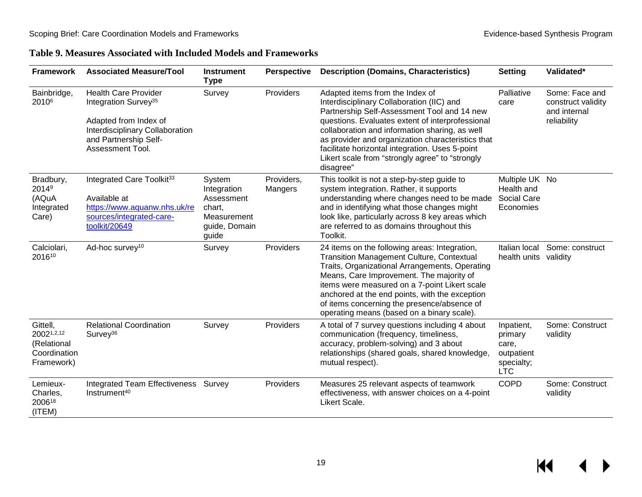### **Table 9. Measures Associated with Included Models and Frameworks**

<span id="page-22-0"></span>

| <b>Framework</b>                                                    | <b>Associated Measure/Tool</b>                                                                                                                                           | <b>Instrument</b><br><b>Type</b>                                                       | <b>Perspective</b>    | <b>Description (Domains, Characteristics)</b>                                                                                                                                                                                                                                                                                                                                                             | <b>Setting</b>                                                           | Validated*                                                          |
|---------------------------------------------------------------------|--------------------------------------------------------------------------------------------------------------------------------------------------------------------------|----------------------------------------------------------------------------------------|-----------------------|-----------------------------------------------------------------------------------------------------------------------------------------------------------------------------------------------------------------------------------------------------------------------------------------------------------------------------------------------------------------------------------------------------------|--------------------------------------------------------------------------|---------------------------------------------------------------------|
| Bainbridge,<br>20106                                                | <b>Health Care Provider</b><br>Integration Survey <sup>35</sup><br>Adapted from Index of<br>Interdisciplinary Collaboration<br>and Partnership Self-<br>Assessment Tool. | Survey                                                                                 | Providers             | Adapted items from the Index of<br>Interdisciplinary Collaboration (IIC) and<br>Partnership Self-Assessment Tool and 14 new<br>questions. Evaluates extent of interprofessional<br>collaboration and information sharing, as well<br>as provider and organization characteristics that<br>facilitate horizontal integration. Uses 5-point<br>Likert scale from "strongly agree" to "strongly<br>disagree" | Palliative<br>care                                                       | Some: Face and<br>construct validity<br>and internal<br>reliability |
| Bradbury,<br>20149<br>(AQuA<br>Integrated<br>Care)                  | Integrated Care Toolkit <sup>33</sup><br>Available at<br>https://www.aquanw.nhs.uk/re<br>sources/integrated-care-<br>toolkit/20649                                       | System<br>Integration<br>Assessment<br>chart,<br>Measurement<br>guide, Domain<br>guide | Providers,<br>Mangers | This toolkit is not a step-by-step guide to<br>system integration. Rather, it supports<br>understanding where changes need to be made<br>and in identifying what those changes might<br>look like, particularly across 8 key areas which<br>are referred to as domains throughout this<br>Toolkit.                                                                                                        | Multiple UK No<br>Health and<br>Social Care<br>Economies                 |                                                                     |
| Calciolari,<br>201610                                               | Ad-hoc survey <sup>10</sup>                                                                                                                                              | Survey                                                                                 | Providers             | 24 items on the following areas: Integration,<br><b>Transition Management Culture, Contextual</b><br>Traits, Organizational Arrangements, Operating<br>Means, Care Improvement. The majority of<br>items were measured on a 7-point Likert scale<br>anchored at the end points, with the exception<br>of items concerning the presence/absence of<br>operating means (based on a binary scale).           | Italian local<br>health units validity                                   | Some: construct                                                     |
| Gittell,<br>20021,2,12<br>(Relational<br>Coordination<br>Framework) | <b>Relational Coordination</b><br>Survey <sup>36</sup>                                                                                                                   | Survey                                                                                 | Providers             | A total of 7 survey questions including 4 about<br>communication (frequency, timeliness,<br>accuracy, problem-solving) and 3 about<br>relationships (shared goals, shared knowledge,<br>mutual respect).                                                                                                                                                                                                  | Inpatient,<br>primary<br>care,<br>outpatient<br>specialty;<br><b>LTC</b> | Some: Construct<br>validity                                         |
| Lemieux-<br>Charles,<br>200618<br>(ITEM)                            | Integrated Team Effectiveness Survey<br>Instrument <sup>40</sup>                                                                                                         |                                                                                        | Providers             | Measures 25 relevant aspects of teamwork<br>effectiveness, with answer choices on a 4-point<br>Likert Scale.                                                                                                                                                                                                                                                                                              | <b>COPD</b>                                                              | Some: Construct<br>validity                                         |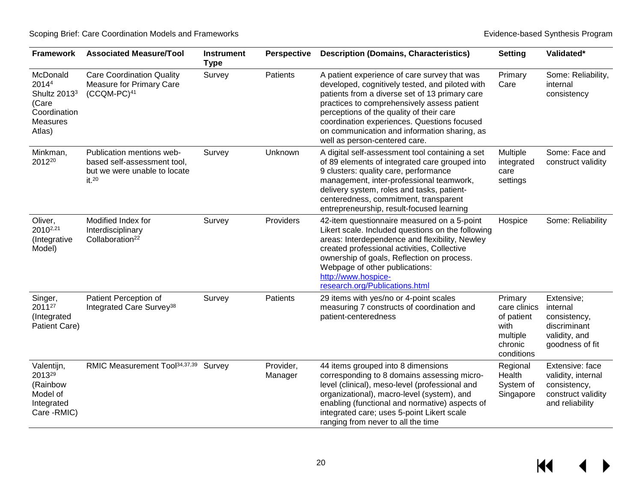| <b>Framework</b>                                                                             | <b>Associated Measure/Tool</b>                                                                               | <b>Instrument</b><br><b>Type</b> | <b>Perspective</b>   | <b>Description (Domains, Characteristics)</b>                                                                                                                                                                                                                                                                                                                                | <b>Setting</b>                                                                     | Validated*                                                                                     |
|----------------------------------------------------------------------------------------------|--------------------------------------------------------------------------------------------------------------|----------------------------------|----------------------|------------------------------------------------------------------------------------------------------------------------------------------------------------------------------------------------------------------------------------------------------------------------------------------------------------------------------------------------------------------------------|------------------------------------------------------------------------------------|------------------------------------------------------------------------------------------------|
| McDonald<br>20144<br>Shultz 2013 <sup>3</sup><br>(Care<br>Coordination<br>Measures<br>Atlas) | <b>Care Coordination Quality</b><br><b>Measure for Primary Care</b><br>(CCQM-PC) <sup>41</sup>               | Survey                           | Patients             | A patient experience of care survey that was<br>developed, cognitively tested, and piloted with<br>patients from a diverse set of 13 primary care<br>practices to comprehensively assess patient<br>perceptions of the quality of their care<br>coordination experiences. Questions focused<br>on communication and information sharing, as<br>well as person-centered care. | Primary<br>Care                                                                    | Some: Reliability,<br>internal<br>consistency                                                  |
| Minkman,<br>201220                                                                           | Publication mentions web-<br>based self-assessment tool,<br>but we were unable to locate<br>it <sup>20</sup> | Survey                           | Unknown              | A digital self-assessment tool containing a set<br>of 89 elements of integrated care grouped into<br>9 clusters: quality care, performance<br>management, inter-professional teamwork,<br>delivery system, roles and tasks, patient-<br>centeredness, commitment, transparent<br>entrepreneurship, result-focused learning                                                   | Multiple<br>integrated<br>care<br>settings                                         | Some: Face and<br>construct validity                                                           |
| Oliver,<br>20102,21<br>(Integrative<br>Model)                                                | Modified Index for<br>Interdisciplinary<br>Collaboration <sup>22</sup>                                       | Survey                           | Providers            | 42-item questionnaire measured on a 5-point<br>Likert scale. Included questions on the following<br>areas: Interdependence and flexibility, Newley<br>created professional activities, Collective<br>ownership of goals, Reflection on process.<br>Webpage of other publications:<br>http://www.hospice-<br>research.org/Publications.html                                   | Hospice                                                                            | Some: Reliability                                                                              |
| Singer,<br>201127<br>(Integrated<br>Patient Care)                                            | Patient Perception of<br>Integrated Care Survey <sup>38</sup>                                                | Survey                           | Patients             | 29 items with yes/no or 4-point scales<br>measuring 7 constructs of coordination and<br>patient-centeredness                                                                                                                                                                                                                                                                 | Primary<br>care clinics<br>of patient<br>with<br>multiple<br>chronic<br>conditions | Extensive;<br>internal<br>consistency,<br>discriminant<br>validity, and<br>goodness of fit     |
| Valentijn,<br>201329<br>(Rainbow<br>Model of<br>Integrated<br>Care -RMIC)                    | RMIC Measurement Tool <sup>34,37,39</sup>                                                                    | Survey                           | Provider,<br>Manager | 44 items grouped into 8 dimensions<br>corresponding to 8 domains assessing micro-<br>level (clinical), meso-level (professional and<br>organizational), macro-level (system), and<br>enabling (functional and normative) aspects of<br>integrated care; uses 5-point Likert scale<br>ranging from never to all the time                                                      | Regional<br>Health<br>System of<br>Singapore                                       | Extensive: face<br>validity, internal<br>consistency,<br>construct validity<br>and reliability |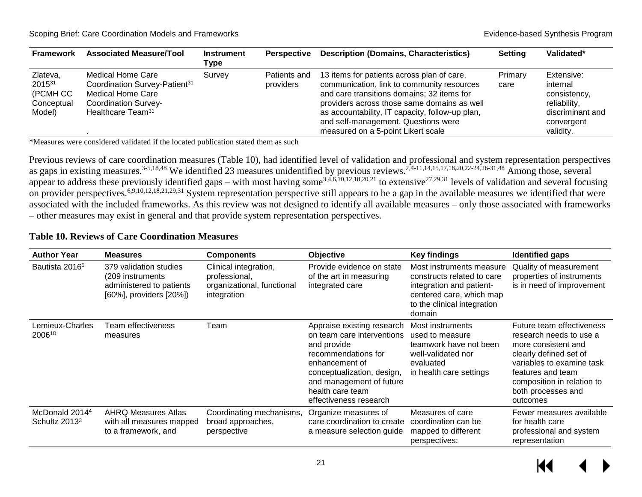| <b>Framework</b>                                       | <b>Associated Measure/Tool</b>                                                                                                               | <b>Instrument</b><br>Type | <b>Perspective</b>        | <b>Description (Domains, Characteristics)</b>                                                                                                                                                                                                                                                                         | <b>Setting</b>  | Validated*                                                                                            |
|--------------------------------------------------------|----------------------------------------------------------------------------------------------------------------------------------------------|---------------------------|---------------------------|-----------------------------------------------------------------------------------------------------------------------------------------------------------------------------------------------------------------------------------------------------------------------------------------------------------------------|-----------------|-------------------------------------------------------------------------------------------------------|
| Zlateva,<br>201531<br>(PCMH CC<br>Conceptual<br>Model) | Medical Home Care<br>Coordination Survey-Patient <sup>31</sup><br>Medical Home Care<br>Coordination Survey-<br>Healthcare Team <sup>31</sup> | Survey                    | Patients and<br>providers | 13 items for patients across plan of care,<br>communication, link to community resources<br>and care transitions domains; 32 items for<br>providers across those same domains as well<br>as accountability, IT capacity, follow-up plan,<br>and self-management. Questions were<br>measured on a 5-point Likert scale | Primary<br>care | Extensive:<br>internal<br>consistency,<br>reliability,<br>discriminant and<br>convergent<br>validity. |

\*Measures were considered validated if the located publication stated them as such

Previous reviews of care coordination measures (Table 10), had identified level of validation and professional and system representation perspectives as gaps in existing measures.<sup>3-5,[18,](#page-37-6)[48](#page-46-8)</sup> We identified 23 measures unidentified by previous reviews.<sup>2,[4-11](#page-31-3)[,14](#page-36-3)[,15](#page-36-0)[,17](#page-37-5)[,18](#page-37-6)[,20](#page-38-7)[,22-24,](#page-38-8)[26-31,](#page-40-3)48</sup> Among those, several appear to address these previously identified gaps – with most having some  $3,4,6,10,12,18,20,21$  $3,4,6,10,12,18,20,21$  $3,4,6,10,12,18,20,21$  $3,4,6,10,12,18,20,21$  $3,4,6,10,12,18,20,21$  $3,4,6,10,12,18,20,21$  $3,4,6,10,12,18,20,21$  $3,4,6,10,12,18,20,21$  to extensive<sup>27[,29](#page-41-3),31</sup> levels of validation and several focusing on provider perspectives.<sup>[6](#page-32-3)[,9](#page-33-3)[,10](#page-34-3)[,12](#page-35-3)[,18](#page-37-6)[,21](#page-38-6)[,29](#page-41-3)[,31](#page-42-3)</sup> System representation perspective still appears to be a gap in the available measures we identified that were associated with the included frameworks. As this review was not designed to identify all available measures – only those associated with frameworks – other measures may exist in general and that provide system representation perspectives.

#### **Table 10. Reviews of Care Coordination Measures**

<span id="page-24-0"></span>

| <b>Author Year</b>                                      | <b>Measures</b>                                                                                    | <b>Components</b>                                                                   | Objective                                                                                                                                                                                                                | <b>Key findings</b>                                                                                                                                     | <b>Identified gaps</b>                                                                                                                                                                                                  |
|---------------------------------------------------------|----------------------------------------------------------------------------------------------------|-------------------------------------------------------------------------------------|--------------------------------------------------------------------------------------------------------------------------------------------------------------------------------------------------------------------------|---------------------------------------------------------------------------------------------------------------------------------------------------------|-------------------------------------------------------------------------------------------------------------------------------------------------------------------------------------------------------------------------|
| Bautista 2016 <sup>5</sup>                              | 379 validation studies<br>(209 instruments)<br>administered to patients<br>[60%], providers [20%]) | Clinical integration,<br>professional,<br>organizational, functional<br>integration | Provide evidence on state<br>of the art in measuring<br>integrated care                                                                                                                                                  | Most instruments measure<br>constructs related to care<br>integration and patient-<br>centered care, which map<br>to the clinical integration<br>domain | Quality of measurement<br>properties of instruments<br>is in need of improvement                                                                                                                                        |
| Lemieux-Charles<br>200618                               | Team effectiveness<br>measures                                                                     | Team                                                                                | Appraise existing research<br>on team care interventions<br>and provide<br>recommendations for<br>enhancement of<br>conceptualization, design,<br>and management of future<br>health care team<br>effectiveness research | Most instruments<br>used to measure<br>teamwork have not been<br>well-validated nor<br>evaluated<br>in health care settings                             | Future team effectiveness<br>research needs to use a<br>more consistent and<br>clearly defined set of<br>variables to examine task<br>features and team<br>composition in relation to<br>both processes and<br>outcomes |
| McDonald 2014 <sup>4</sup><br>Schultz 2013 <sup>3</sup> | <b>AHRQ Measures Atlas</b><br>with all measures mapped<br>to a framework, and                      | Coordinating mechanisms,<br>broad approaches,<br>perspective                        | Organize measures of<br>care coordination to create<br>a measure selection guide                                                                                                                                         | Measures of care<br>coordination can be<br>mapped to different<br>perspectives:                                                                         | Fewer measures available<br>for health care<br>professional and system<br>representation                                                                                                                                |

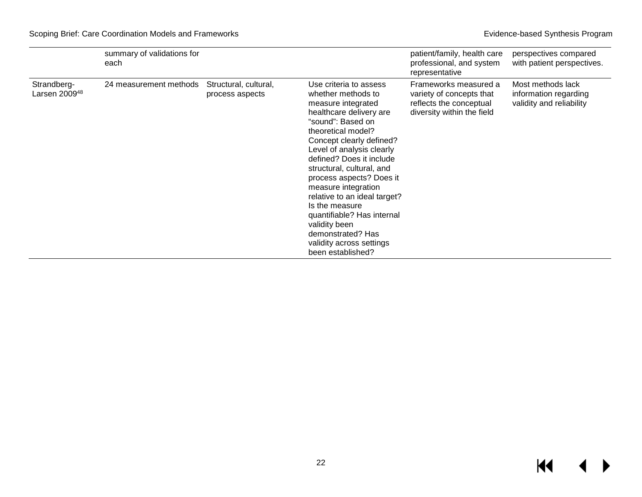#### Scoping Brief: Care Coordination Models and Frameworks **Evidence-based Synthesis Program**

|                                          | summary of validations for<br>each |                                          |                                                                                                                                                                                                                                                                                                                                                                                                                                                                                      | patient/family, health care<br>professional, and system<br>representative                                  | perspectives compared<br>with patient perspectives.                    |
|------------------------------------------|------------------------------------|------------------------------------------|--------------------------------------------------------------------------------------------------------------------------------------------------------------------------------------------------------------------------------------------------------------------------------------------------------------------------------------------------------------------------------------------------------------------------------------------------------------------------------------|------------------------------------------------------------------------------------------------------------|------------------------------------------------------------------------|
| Strandberg-<br>Larsen 2009 <sup>48</sup> | 24 measurement methods             | Structural, cultural,<br>process aspects | Use criteria to assess<br>whether methods to<br>measure integrated<br>healthcare delivery are<br>"sound": Based on<br>theoretical model?<br>Concept clearly defined?<br>Level of analysis clearly<br>defined? Does it include<br>structural, cultural, and<br>process aspects? Does it<br>measure integration<br>relative to an ideal target?<br>Is the measure<br>quantifiable? Has internal<br>validity been<br>demonstrated? Has<br>validity across settings<br>been established? | Frameworks measured a<br>variety of concepts that<br>reflects the conceptual<br>diversity within the field | Most methods lack<br>information regarding<br>validity and reliability |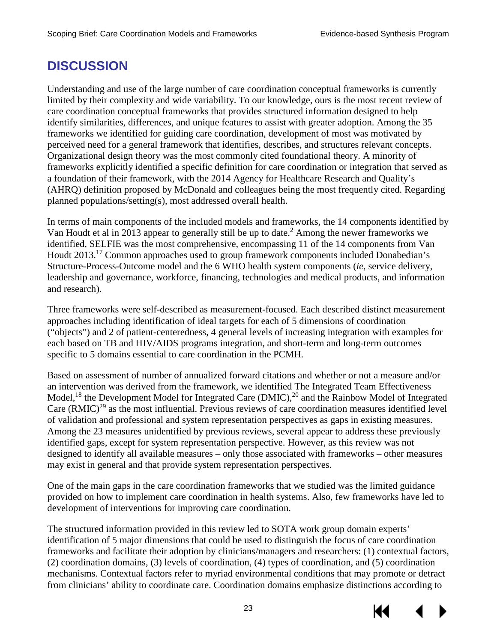# <span id="page-26-0"></span>**DISCUSSION**

Understanding and use of the large number of care coordination conceptual frameworks is currently limited by their complexity and wide variability. To our knowledge, ours is the most recent review of care coordination conceptual frameworks that provides structured information designed to help identify similarities, differences, and unique features to assist with greater adoption. Among the 35 frameworks we identified for guiding care coordination, development of most was motivated by perceived need for a general framework that identifies, describes, and structures relevant concepts. Organizational design theory was the most commonly cited foundational theory. A minority of frameworks explicitly identified a specific definition for care coordination or integration that served as a foundation of their framework, with the 2014 Agency for Healthcare Research and Quality's (AHRQ) definition proposed by McDonald and colleagues being the most frequently cited. Regarding planned populations/setting(s), most addressed overall health.

In terms of main components of the included models and frameworks, the 14 components identified by Van Houdt et al in 2013 appear to generally still be up to dat[e.](#page-30-0) <sup>2</sup> Among the newer frameworks we identified, [SEL](#page-37-4)FIE was the most comprehensive, encompassing 11 of the 14 components from Van Houdt 2013.<sup>17</sup> Common approaches used to group framework components included Donabedian's Structure-Process-Outcome model and the 6 WHO health system components (*ie*, service delivery, leadership and governance, workforce, financing, technologies and medical products, and information and research).

Three frameworks were self-described as measurement-focused. Each described distinct measurement approaches including identification of ideal targets for each of 5 dimensions of coordination ("objects") and 2 of patient-centeredness, 4 general levels of increasing integration with examples for each based on TB and HIV/AIDS programs integration, and short-term and long-term outcomes specific to 5 domains essential to care coordination in the PCMH.

Based on assessment of number of annualized forward citations and whether or not a measure and/or an int[erven](#page-37-4)tion was derived from the framework, we identified The Integrated Team Effectiveness Model,<sup>18</sup> the Development Model for Integrated Care (DMIC),<sup>[20](#page-38-3)</sup> and the Rainbow Model of Integrated Care  $(RMIC)^{29}$  as the most influential. Previous reviews of care coordination measures identified level of validation and professional and system representation perspectives as gaps in existing measures. Among the 23 measures unidentified by previous reviews, several appear to address these previously identified gaps, except for system representation perspective. However, as this review was not designed to identify all available measures – only those associated with frameworks – other measures may exist in general and that provide system representation perspectives.

One of the main gaps in the care coordination frameworks that we studied was the limited guidance provided on how to implement care coordination in health systems. Also, few frameworks have led to development of interventions for improving care coordination.

The structured information provided in this review led to SOTA work group domain experts' identification of 5 major dimensions that could be used to distinguish the focus of care coordination frameworks and facilitate their adoption by clinicians/managers and researchers: (1) contextual factors, (2) coordination domains, (3) levels of coordination, (4) types of coordination, and (5) coordination mechanisms. Contextual factors refer to myriad environmental conditions that may promote or detract from clinicians' ability to coordinate care. Coordination domains emphasize distinctions according to

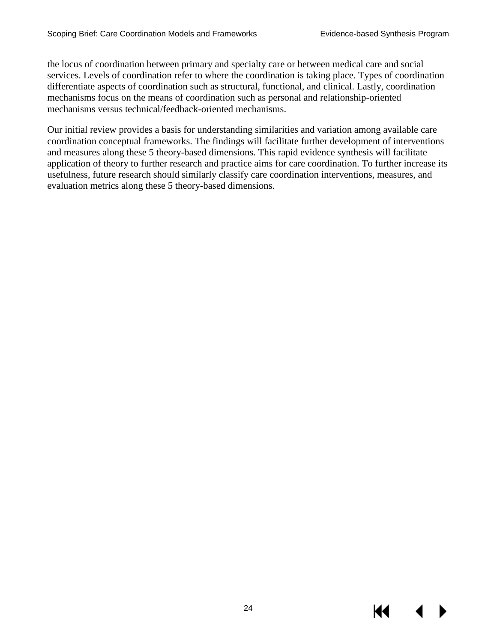14

the locus of coordination between primary and specialty care or between medical care and social services. Levels of coordination refer to where the coordination is taking place. Types of coordination differentiate aspects of coordination such as structural, functional, and clinical. Lastly, coordination mechanisms focus on the means of coordination such as personal and relationship-oriented mechanisms versus technical/feedback-oriented mechanisms.

Our initial review provides a basis for understanding similarities and variation among available care coordination conceptual frameworks. The findings will facilitate further development of interventions and measures along these 5 theory-based dimensions. This rapid evidence synthesis will facilitate application of theory to further research and practice aims for care coordination. To further increase its usefulness, future research should similarly classify care coordination interventions, measures, and evaluation metrics along these 5 theory-based dimensions.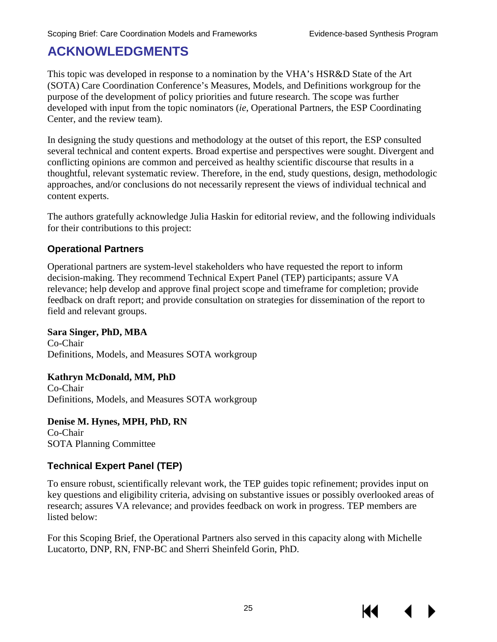К∢

# <span id="page-28-0"></span>**ACKNOWLEDGMENTS**

This topic was developed in response to a nomination by the VHA's HSR&D State of the Art (SOTA) Care Coordination Conference's Measures, Models, and Definitions workgroup for the purpose of the development of policy priorities and future research. The scope was further developed with input from the topic nominators (*ie*, Operational Partners, the ESP Coordinating Center, and the review team).

In designing the study questions and methodology at the outset of this report, the ESP consulted several technical and content experts. Broad expertise and perspectives were sought. Divergent and conflicting opinions are common and perceived as healthy scientific discourse that results in a thoughtful, relevant systematic review. Therefore, in the end, study questions, design, methodologic approaches, and/or conclusions do not necessarily represent the views of individual technical and content experts.

The authors gratefully acknowledge Julia Haskin for editorial review, and the following individuals for their contributions to this project:

#### <span id="page-28-1"></span>**Operational Partners**

Operational partners are system-level stakeholders who have requested the report to inform decision-making. They recommend Technical Expert Panel (TEP) participants; assure VA relevance; help develop and approve final project scope and timeframe for completion; provide feedback on draft report; and provide consultation on strategies for dissemination of the report to field and relevant groups.

**Sara Singer, PhD, MBA** Co-Chair Definitions, Models, and Measures SOTA workgroup

#### **Kathryn McDonald, MM, PhD** Co-Chair Definitions, Models, and Measures SOTA workgroup

**Denise M. Hynes, MPH, PhD, RN** Co-Chair SOTA Planning Committee

#### <span id="page-28-2"></span>**Technical Expert Panel (TEP)**

To ensure robust, scientifically relevant work, the TEP guides topic refinement; provides input on key questions and eligibility criteria, advising on substantive issues or possibly overlooked areas of research; assures VA relevance; and provides feedback on work in progress. TEP members are listed below:

For this Scoping Brief, the Operational Partners also served in this capacity along with Michelle Lucatorto, DNP, RN, FNP-BC and Sherri Sheinfeld Gorin, PhD.

25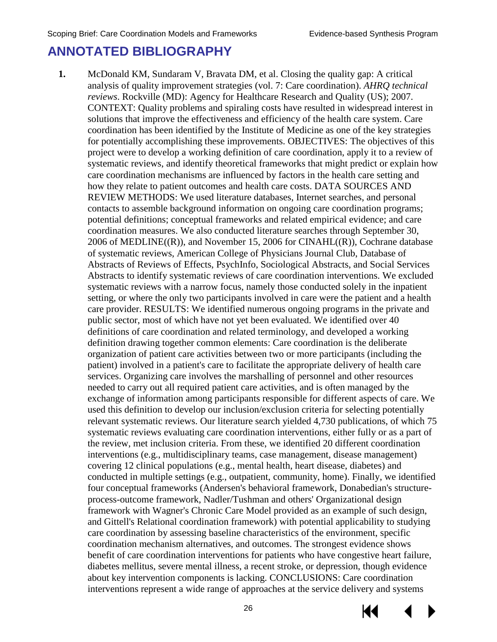# <span id="page-29-3"></span><span id="page-29-1"></span><span id="page-29-0"></span>**ANNOTATED BIBLIOGRAPHY**

<span id="page-29-2"></span>**1.** McDonald KM, Sundaram V, Bravata DM, et al. Closing the quality gap: A critical analysis of quality improvement strategies (vol. 7: Care coordination). *AHRQ technical reviews*. Rockville (MD): Agency for Healthcare Research and Quality (US); 2007. CONTEXT: Quality problems and spiraling costs have resulted in widespread interest in solutions that improve the effectiveness and efficiency of the health care system. Care coordination has been identified by the Institute of Medicine as one of the key strategies for potentially accomplishing these improvements. OBJECTIVES: The objectives of this project were to develop a working definition of care coordination, apply it to a review of systematic reviews, and identify theoretical frameworks that might predict or explain how care coordination mechanisms are influenced by factors in the health care setting and how they relate to patient outcomes and health care costs. DATA SOURCES AND REVIEW METHODS: We used literature databases, Internet searches, and personal contacts to assemble background information on ongoing care coordination programs; potential definitions; conceptual frameworks and related empirical evidence; and care coordination measures. We also conducted literature searches through September 30, 2006 of MEDLINE $((R))$ , and November 15, 2006 for CINAHL $((R))$ , Cochrane database of systematic reviews, American College of Physicians Journal Club, Database of Abstracts of Reviews of Effects, PsychInfo, Sociological Abstracts, and Social Services Abstracts to identify systematic reviews of care coordination interventions. We excluded systematic reviews with a narrow focus, namely those conducted solely in the inpatient setting, or where the only two participants involved in care were the patient and a health care provider. RESULTS: We identified numerous ongoing programs in the private and public sector, most of which have not yet been evaluated. We identified over 40 definitions of care coordination and related terminology, and developed a working definition drawing together common elements: Care coordination is the deliberate organization of patient care activities between two or more participants (including the patient) involved in a patient's care to facilitate the appropriate delivery of health care services. Organizing care involves the marshalling of personnel and other resources needed to carry out all required patient care activities, and is often managed by the exchange of information among participants responsible for different aspects of care. We used this definition to develop our inclusion/exclusion criteria for selecting potentially relevant systematic reviews. Our literature search yielded 4,730 publications, of which 75 systematic reviews evaluating care coordination interventions, either fully or as a part of the review, met inclusion criteria. From these, we identified 20 different coordination interventions (e.g., multidisciplinary teams, case management, disease management) covering 12 clinical populations (e.g., mental health, heart disease, diabetes) and conducted in multiple settings (e.g., outpatient, community, home). Finally, we identified four conceptual frameworks (Andersen's behavioral framework, Donabedian's structureprocess-outcome framework, Nadler/Tushman and others' Organizational design framework with Wagner's Chronic Care Model provided as an example of such design, and Gittell's Relational coordination framework) with potential applicability to studying care coordination by assessing baseline characteristics of the environment, specific coordination mechanism alternatives, and outcomes. The strongest evidence shows benefit of care coordination interventions for patients who have congestive heart failure, diabetes mellitus, severe mental illness, a recent stroke, or depression, though evidence about key intervention components is lacking. CONCLUSIONS: Care coordination interventions represent a wide range of approaches at the service delivery and systems

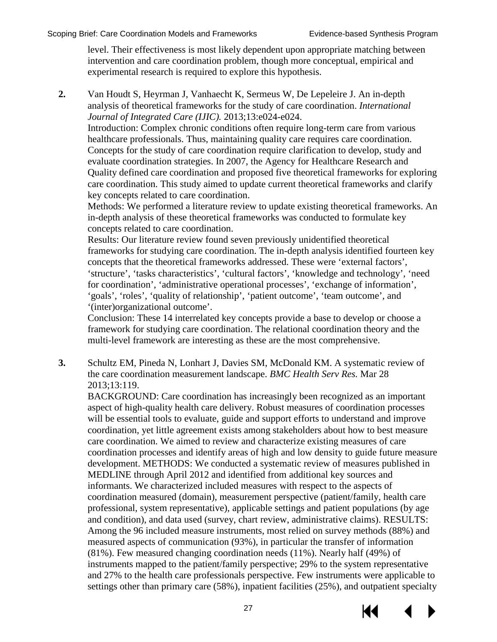<span id="page-30-3"></span><span id="page-30-0"></span>level. Their effectiveness is most likely dependent upon appropriate matching between intervention and care coordination problem, though more conceptual, empirical and experimental research is required to explore this hypothesis.

<span id="page-30-2"></span>**2.** Van Houdt S, Heyrman J, Vanhaecht K, Sermeus W, De Lepeleire J. An in-depth analysis of theoretical frameworks for the study of care coordination. *International Journal of Integrated Care (IJIC).* 2013;13:e024-e024.

Introduction: Complex chronic conditions often require long-term care from various healthcare professionals. Thus, maintaining quality care requires care coordination. Concepts for the study of care coordination require clarification to develop, study and evaluate coordination strategies. In 2007, the Agency for Healthcare Research and Quality defined care coordination and proposed five theoretical frameworks for exploring care coordination. This study aimed to update current theoretical frameworks and clarify key concepts related to care coordination.

<span id="page-30-4"></span>Methods: We performed a literature review to update existing theoretical frameworks. An in-depth analysis of these theoretical frameworks was conducted to formulate key concepts related to care coordination.

Results: Our literature review found seven previously unidentified theoretical frameworks for studying care coordination. The in-depth analysis identified fourteen key concepts that the theoretical frameworks addressed. These were 'external factors', 'structure', 'tasks characteristics', 'cultural factors', 'knowledge and technology', 'need for coordination', 'administrative operational processes', 'exchange of information', 'goals', 'roles', 'quality of relationship', 'patient outcome', 'team outcome', and '(inter)organizational outcome'.

Conclusion: These 14 interrelated key concepts provide a base to develop or choose a framework for studying care coordination. The relational coordination theory and the multi-level framework are interesting as these are the most comprehensive.

<span id="page-30-1"></span>**3.** Schultz EM, Pineda N, Lonhart J, Davies SM, McDonald KM. A systematic review of the care coordination measurement landscape. *BMC Health Serv Res.* Mar 28 2013;13:119.

BACKGROUND: Care coordination has increasingly been recognized as an important aspect of high-quality health care delivery. Robust measures of coordination processes will be essential tools to evaluate, guide and support efforts to understand and improve coordination, yet little agreement exists among stakeholders about how to best measure care coordination. We aimed to review and characterize existing measures of care coordination processes and identify areas of high and low density to guide future measure development. METHODS: We conducted a systematic review of measures published in MEDLINE through April 2012 and identified from additional key sources and informants. We characterized included measures with respect to the aspects of coordination measured (domain), measurement perspective (patient/family, health care professional, system representative), applicable settings and patient populations (by age and condition), and data used (survey, chart review, administrative claims). RESULTS: Among the 96 included measure instruments, most relied on survey methods (88%) and measured aspects of communication (93%), in particular the transfer of information (81%). Few measured changing coordination needs (11%). Nearly half (49%) of instruments mapped to the patient/family perspective; 29% to the system representative and 27% to the health care professionals perspective. Few instruments were applicable to settings other than primary care (58%), inpatient facilities (25%), and outpatient specialty

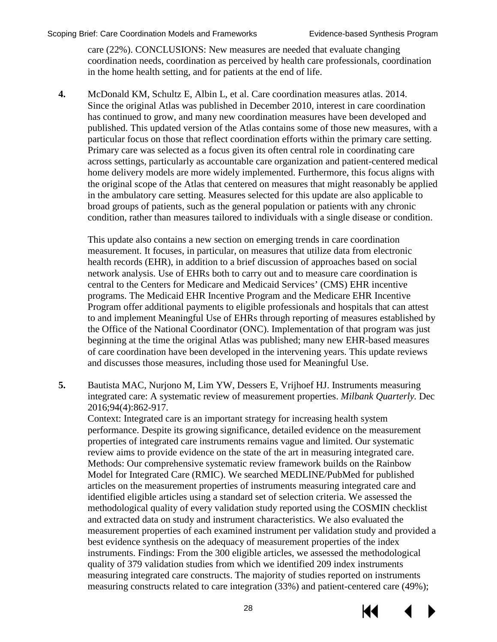<span id="page-31-3"></span><span id="page-31-0"></span>care (22%). CONCLUSIONS: New measures are needed that evaluate changing coordination needs, coordination as perceived by health care professionals, coordination in the home health setting, and for patients at the end of life.

<span id="page-31-1"></span>**4.** McDonald KM, Schultz E, Albin L, et al. Care coordination measures atlas. 2014. Since the original Atlas was published in December 2010, interest in care coordination has continued to grow, and many new coordination measures have been developed and published. This updated version of the Atlas contains some of those new measures, with a particular focus on those that reflect coordination efforts within the primary care setting. Primary care was selected as a focus given its often central role in coordinating care across settings, particularly as accountable care organization and patient-centered medical home delivery models are more widely implemented. Furthermore, this focus aligns with the original scope of the Atlas that centered on measures that might reasonably be applied in the ambulatory care setting. Measures selected for this update are also applicable to broad groups of patients, such as the general population or patients with any chronic condition, rather than measures tailored to individuals with a single disease or condition.

This update also contains a new section on emerging trends in care coordination measurement. It focuses, in particular, on measures that utilize data from electronic health records (EHR), in addition to a brief discussion of approaches based on social network analysis. Use of EHRs both to carry out and to measure care coordination is central to the Centers for Medicare and Medicaid Services' (CMS) EHR incentive programs. The Medicaid EHR Incentive Program and the Medicare EHR Incentive Program offer additional payments to eligible professionals and hospitals that can attest to and implement Meaningful Use of EHRs through reporting of measures established by the Office of the National Coordinator (ONC). Implementation of that program was just beginning at the time the original Atlas was published; many new EHR-based measures of care coordination have been developed in the intervening years. This update reviews and discusses those measures, including those used for Meaningful Use.

<span id="page-31-2"></span>**5.** Bautista MAC, Nurjono M, Lim YW, Dessers E, Vrijhoef HJ. Instruments measuring integrated care: A systematic review of measurement properties. *Milbank Quarterly.* Dec 2016;94(4):862-917.

Context: Integrated care is an important strategy for increasing health system performance. Despite its growing significance, detailed evidence on the measurement properties of integrated care instruments remains vague and limited. Our systematic review aims to provide evidence on the state of the art in measuring integrated care. Methods: Our comprehensive systematic review framework builds on the Rainbow Model for Integrated Care (RMIC). We searched MEDLINE/PubMed for published articles on the measurement properties of instruments measuring integrated care and identified eligible articles using a standard set of selection criteria. We assessed the methodological quality of every validation study reported using the COSMIN checklist and extracted data on study and instrument characteristics. We also evaluated the measurement properties of each examined instrument per validation study and provided a best evidence synthesis on the adequacy of measurement properties of the index instruments. Findings: From the 300 eligible articles, we assessed the methodological quality of 379 validation studies from which we identified 209 index instruments measuring integrated care constructs. The majority of studies reported on instruments measuring constructs related to care integration (33%) and patient-centered care (49%);

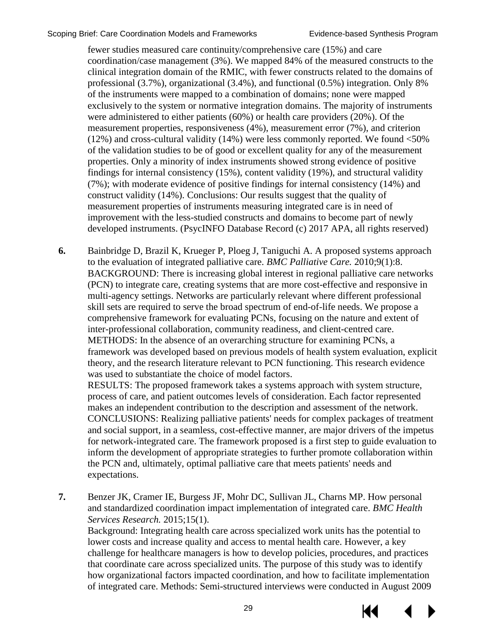<span id="page-32-3"></span><span id="page-32-0"></span>fewer studies measured care continuity/comprehensive care (15%) and care coordination/case management (3%). We mapped 84% of the measured constructs to the clinical integration domain of the RMIC, with fewer constructs related to the domains of professional (3.7%), organizational (3.4%), and functional (0.5%) integration. Only 8% of the instruments were mapped to a combination of domains; none were mapped exclusively to the system or normative integration domains. The majority of instruments were administered to either patients (60%) or health care providers (20%). Of the measurement properties, responsiveness (4%), measurement error (7%), and criterion (12%) and cross-cultural validity (14%) were less commonly reported. We found  $<50\%$ of the validation studies to be of good or excellent quality for any of the measurement properties. Only a minority of index instruments showed strong evidence of positive findings for internal consistency (15%), content validity (19%), and structural validity (7%); with moderate evidence of positive findings for internal consistency (14%) and construct validity (14%). Conclusions: Our results suggest that the quality of measurement properties of instruments measuring integrated care is in need of improvement with the less-studied constructs and domains to become part of newly developed instruments. (PsycINFO Database Record (c) 2017 APA, all rights reserved)

<span id="page-32-2"></span>**6.** Bainbridge D, Brazil K, Krueger P, Ploeg J, Taniguchi A. A proposed systems approach to the evaluation of integrated palliative care. *BMC Palliative Care.* 2010;9(1):8. BACKGROUND: There is increasing global interest in regional palliative care networks (PCN) to integrate care, creating systems that are more cost-effective and responsive in multi-agency settings. Networks are particularly relevant where different professional skill sets are required to serve the broad spectrum of end-of-life needs. We propose a comprehensive framework for evaluating PCNs, focusing on the nature and extent of inter-professional collaboration, community readiness, and client-centred care. METHODS: In the absence of an overarching structure for examining PCNs, a framework was developed based on previous models of health system evaluation, explicit theory, and the research literature relevant to PCN functioning. This research evidence was used to substantiate the choice of model factors.

RESULTS: The proposed framework takes a systems approach with system structure, process of care, and patient outcomes levels of consideration. Each factor represented makes an independent contribution to the description and assessment of the network. CONCLUSIONS: Realizing palliative patients' needs for complex packages of treatment and social support, in a seamless, cost-effective manner, are major drivers of the impetus for network-integrated care. The framework proposed is a first step to guide evaluation to inform the development of appropriate strategies to further promote collaboration within the PCN and, ultimately, optimal palliative care that meets patients' needs and expectations.

<span id="page-32-1"></span>**7.** Benzer JK, Cramer IE, Burgess JF, Mohr DC, Sullivan JL, Charns MP. How personal and standardized coordination impact implementation of integrated care. *BMC Health Services Research.* 2015;15(1).

Background: Integrating health care across specialized work units has the potential to lower costs and increase quality and access to mental health care. However, a key challenge for healthcare managers is how to develop policies, procedures, and practices that coordinate care across specialized units. The purpose of this study was to identify how organizational factors impacted coordination, and how to facilitate implementation of integrated care. Methods: Semi-structured interviews were conducted in August 2009

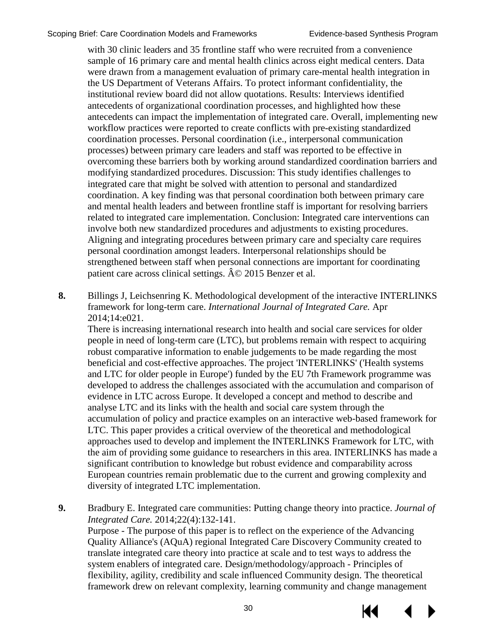<span id="page-33-2"></span><span id="page-33-1"></span>with 30 clinic leaders and 35 frontline staff who were recruited from a convenience sample of 16 primary care and mental health clinics across eight medical centers. Data were drawn from a management evaluation of primary care-mental health integration in the US Department of Veterans Affairs. To protect informant confidentiality, the institutional review board did not allow quotations. Results: Interviews identified antecedents of organizational coordination processes, and highlighted how these antecedents can impact the implementation of integrated care. Overall, implementing new workflow practices were reported to create conflicts with pre-existing standardized coordination processes. Personal coordination (i.e., interpersonal communication processes) between primary care leaders and staff was reported to be effective in overcoming these barriers both by working around standardized coordination barriers and modifying standardized procedures. Discussion: This study identifies challenges to integrated care that might be solved with attention to personal and standardized coordination. A key finding was that personal coordination both between primary care and mental health leaders and between frontline staff is important for resolving barriers related to integrated care implementation. Conclusion: Integrated care interventions can involve both new standardized procedures and adjustments to existing procedures. Aligning and integrating procedures between primary care and specialty care requires personal coordination amongst leaders. Interpersonal relationships should be strengthened between staff when personal connections are important for coordinating patient care across clinical settings.  $\hat{A} \odot 2015$  Benzer et al.

**8.** Billings J, Leichsenring K. Methodological development of the interactive INTERLINKS framework for long-term care. *International Journal of Integrated Care.* Apr 2014;14:e021.

<span id="page-33-3"></span>There is increasing international research into health and social care services for older people in need of long-term care (LTC), but problems remain with respect to acquiring robust comparative information to enable judgements to be made regarding the most beneficial and cost-effective approaches. The project 'INTERLINKS' ('Health systems and LTC for older people in Europe') funded by the EU 7th Framework programme was developed to address the challenges associated with the accumulation and comparison of evidence in LTC across Europe. It developed a concept and method to describe and analyse LTC and its links with the health and social care system through the accumulation of policy and practice examples on an interactive web-based framework for LTC. This paper provides a critical overview of the theoretical and methodological approaches used to develop and implement the INTERLINKS Framework for LTC, with the aim of providing some guidance to researchers in this area. INTERLINKS has made a significant contribution to knowledge but robust evidence and comparability across European countries remain problematic due to the current and growing complexity and diversity of integrated LTC implementation.

<span id="page-33-0"></span>**9.** Bradbury E. Integrated care communities: Putting change theory into practice. *Journal of Integrated Care.* 2014;22(4):132-141. Purpose - The purpose of this paper is to reflect on the experience of the Advancing Quality Alliance's (AQuA) regional Integrated Care Discovery Community created to translate integrated care theory into practice at scale and to test ways to address the system enablers of integrated care. Design/methodology/approach - Principles of flexibility, agility, credibility and scale influenced Community design. The theoretical framework drew on relevant complexity, learning community and change management

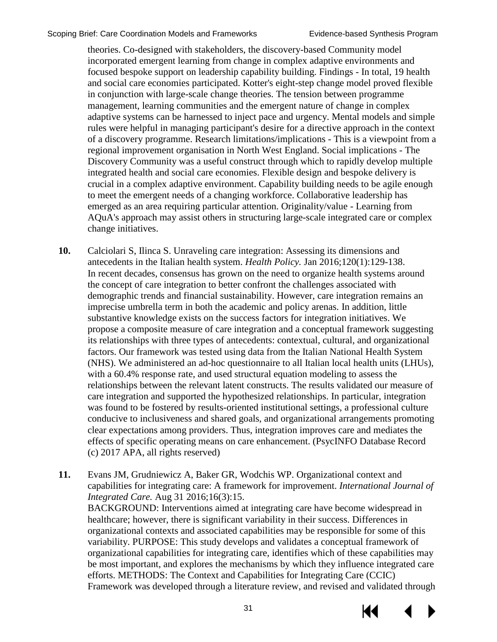<span id="page-34-3"></span><span id="page-34-1"></span>theories. Co-designed with stakeholders, the discovery-based Community model incorporated emergent learning from change in complex adaptive environments and focused bespoke support on leadership capability building. Findings - In total, 19 health and social care economies participated. Kotter's eight-step change model proved flexible in conjunction with large-scale change theories. The tension between programme management, learning communities and the emergent nature of change in complex adaptive systems can be harnessed to inject pace and urgency. Mental models and simple rules were helpful in managing participant's desire for a directive approach in the context of a discovery programme. Research limitations/implications - This is a viewpoint from a regional improvement organisation in North West England. Social implications - The Discovery Community was a useful construct through which to rapidly develop multiple integrated health and social care economies. Flexible design and bespoke delivery is crucial in a complex adaptive environment. Capability building needs to be agile enough to meet the emergent needs of a changing workforce. Collaborative leadership has emerged as an area requiring particular attention. Originality/value - Learning from AQuA's approach may assist others in structuring large-scale integrated care or complex change initiatives.

- <span id="page-34-0"></span>**10.** Calciolari S, Ilinca S. Unraveling care integration: Assessing its dimensions and antecedents in the Italian health system. *Health Policy.* Jan 2016;120(1):129-138. In recent decades, consensus has grown on the need to organize health systems around the concept of care integration to better confront the challenges associated with demographic trends and financial sustainability. However, care integration remains an imprecise umbrella term in both the academic and policy arenas. In addition, little substantive knowledge exists on the success factors for integration initiatives. We propose a composite measure of care integration and a conceptual framework suggesting its relationships with three types of antecedents: contextual, cultural, and organizational factors. Our framework was tested using data from the Italian National Health System (NHS). We administered an ad-hoc questionnaire to all Italian local health units (LHUs), with a 60.4% response rate, and used structural equation modeling to assess the relationships between the relevant latent constructs. The results validated our measure of care integration and supported the hypothesized relationships. In particular, integration was found to be fostered by results-oriented institutional settings, a professional culture conducive to inclusiveness and shared goals, and organizational arrangements promoting clear expectations among providers. Thus, integration improves care and mediates the effects of specific operating means on care enhancement. (PsycINFO Database Record (c) 2017 APA, all rights reserved)
- <span id="page-34-2"></span>**11.** Evans JM, Grudniewicz A, Baker GR, Wodchis WP. Organizational context and capabilities for integrating care: A framework for improvement. *International Journal of Integrated Care.* Aug 31 2016;16(3):15.

BACKGROUND: Interventions aimed at integrating care have become widespread in healthcare; however, there is significant variability in their success. Differences in organizational contexts and associated capabilities may be responsible for some of this variability. PURPOSE: This study develops and validates a conceptual framework of organizational capabilities for integrating care, identifies which of these capabilities may be most important, and explores the mechanisms by which they influence integrated care efforts. METHODS: The Context and Capabilities for Integrating Care (CCIC) Framework was developed through a literature review, and revised and validated through

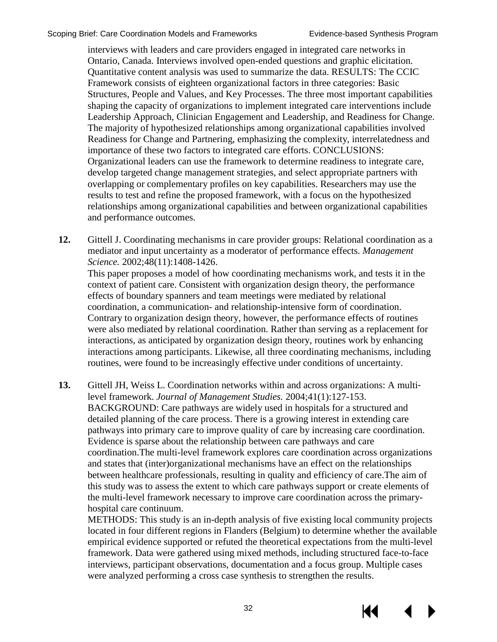<span id="page-35-3"></span><span id="page-35-2"></span>interviews with leaders and care providers engaged in integrated care networks in Ontario, Canada. Interviews involved open-ended questions and graphic elicitation. Quantitative content analysis was used to summarize the data. RESULTS: The CCIC Framework consists of eighteen organizational factors in three categories: Basic Structures, People and Values, and Key Processes. The three most important capabilities shaping the capacity of organizations to implement integrated care interventions include Leadership Approach, Clinician Engagement and Leadership, and Readiness for Change. The majority of hypothesized relationships among organizational capabilities involved Readiness for Change and Partnering, emphasizing the complexity, interrelatedness and importance of these two factors to integrated care efforts. CONCLUSIONS: Organizational leaders can use the framework to determine readiness to integrate care, develop targeted change management strategies, and select appropriate partners with overlapping or complementary profiles on key capabilities. Researchers may use the results to test and refine the proposed framework, with a focus on the hypothesized relationships among organizational capabilities and between organizational capabilities and performance outcomes.

<span id="page-35-0"></span>**12.** Gittell J. Coordinating mechanisms in care provider groups: Relational coordination as a mediator and input uncertainty as a moderator of performance effects. *Management Science.* 2002;48(11):1408-1426.

This paper proposes a model of how coordinating mechanisms work, and tests it in the context of patient care. Consistent with organization design theory, the performance effects of boundary spanners and team meetings were mediated by relational coordination, a communication- and relationship-intensive form of coordination. Contrary to organization design theory, however, the performance effects of routines were also mediated by relational coordination. Rather than serving as a replacement for interactions, as anticipated by organization design theory, routines work by enhancing interactions among participants. Likewise, all three coordinating mechanisms, including routines, were found to be increasingly effective under conditions of uncertainty.

<span id="page-35-1"></span>**13.** Gittell JH, Weiss L. Coordination networks within and across organizations: A multilevel framework. *Journal of Management Studies.* 2004;41(1):127-153. BACKGROUND: Care pathways are widely used in hospitals for a structured and detailed planning of the care process. There is a growing interest in extending care pathways into primary care to improve quality of care by increasing care coordination. Evidence is sparse about the relationship between care pathways and care coordination.The multi-level framework explores care coordination across organizations and states that (inter)organizational mechanisms have an effect on the relationships between healthcare professionals, resulting in quality and efficiency of care.The aim of this study was to assess the extent to which care pathways support or create elements of the multi-level framework necessary to improve care coordination across the primaryhospital care continuum.

METHODS: This study is an in-depth analysis of five existing local community projects located in four different regions in Flanders (Belgium) to determine whether the available empirical evidence supported or refuted the theoretical expectations from the multi-level framework. Data were gathered using mixed methods, including structured face-to-face interviews, participant observations, documentation and a focus group. Multiple cases were analyzed performing a cross case synthesis to strengthen the results.

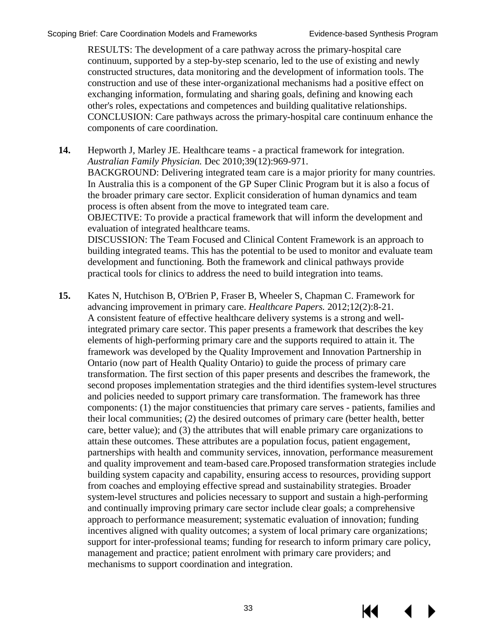<span id="page-36-3"></span><span id="page-36-2"></span>RESULTS: The development of a care pathway across the primary-hospital care continuum, supported by a step-by-step scenario, led to the use of existing and newly constructed structures, data monitoring and the development of information tools. The construction and use of these inter-organizational mechanisms had a positive effect on exchanging information, formulating and sharing goals, defining and knowing each other's roles, expectations and competences and building qualitative relationships. CONCLUSION: Care pathways across the primary-hospital care continuum enhance the components of care coordination.

<span id="page-36-0"></span>**14.** Hepworth J, Marley JE. Healthcare teams - a practical framework for integration. *Australian Family Physician.* Dec 2010;39(12):969-971. BACKGROUND: Delivering integrated team care is a major priority for many countries. In Australia this is a component of the GP Super Clinic Program but it is also a focus of the broader primary care sector. Explicit consideration of human dynamics and team process is often absent from the move to integrated team care. OBJECTIVE: To provide a practical framework that will inform the development and evaluation of integrated healthcare teams. DISCUSSION: The Team Focused and Clinical Content Framework is an approach to building integrated teams. This has the potential to be used to monitor and evaluate team development and functioning. Both the framework and clinical pathways provide

practical tools for clinics to address the need to build integration into teams.

<span id="page-36-1"></span>**15.** Kates N, Hutchison B, O'Brien P, Fraser B, Wheeler S, Chapman C. Framework for advancing improvement in primary care. *Healthcare Papers.* 2012;12(2):8-21. A consistent feature of effective healthcare delivery systems is a strong and wellintegrated primary care sector. This paper presents a framework that describes the key elements of high-performing primary care and the supports required to attain it. The framework was developed by the Quality Improvement and Innovation Partnership in Ontario (now part of Health Quality Ontario) to guide the process of primary care transformation. The first section of this paper presents and describes the framework, the second proposes implementation strategies and the third identifies system-level structures and policies needed to support primary care transformation. The framework has three components: (1) the major constituencies that primary care serves - patients, families and their local communities; (2) the desired outcomes of primary care (better health, better care, better value); and (3) the attributes that will enable primary care organizations to attain these outcomes. These attributes are a population focus, patient engagement, partnerships with health and community services, innovation, performance measurement and quality improvement and team-based care.Proposed transformation strategies include building system capacity and capability, ensuring access to resources, providing support from coaches and employing effective spread and sustainability strategies. Broader system-level structures and policies necessary to support and sustain a high-performing and continually improving primary care sector include clear goals; a comprehensive approach to performance measurement; systematic evaluation of innovation; funding incentives aligned with quality outcomes; a system of local primary care organizations; support for inter-professional teams; funding for research to inform primary care policy, management and practice; patient enrolment with primary care providers; and mechanisms to support coordination and integration.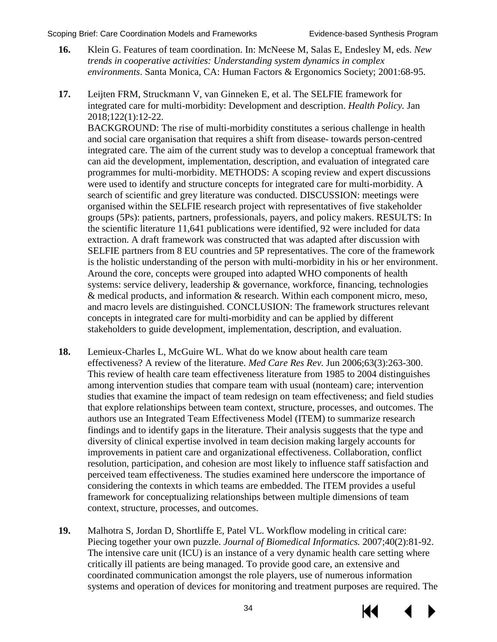- <span id="page-37-5"></span><span id="page-37-4"></span><span id="page-37-0"></span>**16.** Klein G. Features of team coordination. In: McNeese M, Salas E, Endesley M, eds. *New trends in cooperative activities: Understanding system dynamics in complex environments*. Santa Monica, CA: Human Factors & Ergonomics Society; 2001:68-95.
- <span id="page-37-2"></span>**17.** Leijten FRM, Struckmann V, van Ginneken E, et al. The SELFIE framework for integrated care for multi-morbidity: Development and description. *Health Policy.* Jan 2018;122(1):12-22.

<span id="page-37-6"></span>BACKGROUND: The rise of multi-morbidity constitutes a serious challenge in health and social care organisation that requires a shift from disease- towards person-centred integrated care. The aim of the current study was to develop a conceptual framework that can aid the development, implementation, description, and evaluation of integrated care programmes for multi-morbidity. METHODS: A scoping review and expert discussions were used to identify and structure concepts for integrated care for multi-morbidity. A search of scientific and grey literature was conducted. DISCUSSION: meetings were organised within the SELFIE research project with representatives of five stakeholder groups (5Ps): patients, partners, professionals, payers, and policy makers. RESULTS: In the scientific literature 11,641 publications were identified, 92 were included for data extraction. A draft framework was constructed that was adapted after discussion with SELFIE partners from 8 EU countries and 5P representatives. The core of the framework is the holistic understanding of the person with multi-morbidity in his or her environment. Around the core, concepts were grouped into adapted WHO components of health systems: service delivery, leadership & governance, workforce, financing, technologies & medical products, and information & research. Within each component micro, meso, and macro levels are distinguished. CONCLUSION: The framework structures relevant concepts in integrated care for multi-morbidity and can be applied by different stakeholders to guide development, implementation, description, and evaluation.

- <span id="page-37-3"></span>**18.** Lemieux-Charles L, McGuire WL. What do we know about health care team effectiveness? A review of the literature. *Med Care Res Rev.* Jun 2006;63(3):263-300. This review of health care team effectiveness literature from 1985 to 2004 distinguishes among intervention studies that compare team with usual (nonteam) care; intervention studies that examine the impact of team redesign on team effectiveness; and field studies that explore relationships between team context, structure, processes, and outcomes. The authors use an Integrated Team Effectiveness Model (ITEM) to summarize research findings and to identify gaps in the literature. Their analysis suggests that the type and diversity of clinical expertise involved in team decision making largely accounts for improvements in patient care and organizational effectiveness. Collaboration, conflict resolution, participation, and cohesion are most likely to influence staff satisfaction and perceived team effectiveness. The studies examined here underscore the importance of considering the contexts in which teams are embedded. The ITEM provides a useful framework for conceptualizing relationships between multiple dimensions of team context, structure, processes, and outcomes.
- <span id="page-37-1"></span>**19.** Malhotra S, Jordan D, Shortliffe E, Patel VL. Workflow modeling in critical care: Piecing together your own puzzle. *Journal of Biomedical Informatics.* 2007;40(2):81-92. The intensive care unit (ICU) is an instance of a very dynamic health care setting where critically ill patients are being managed. To provide good care, an extensive and coordinated communication amongst the role players, use of numerous information systems and operation of devices for monitoring and treatment purposes are required. The

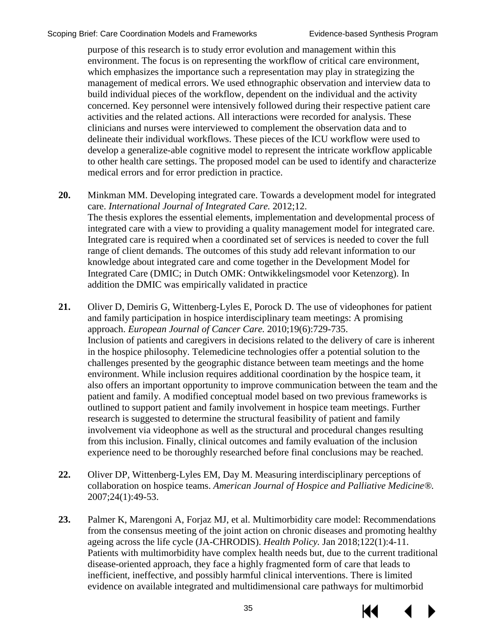<span id="page-38-7"></span><span id="page-38-3"></span>purpose of this research is to study error evolution and management within this environment. The focus is on representing the workflow of critical care environment, which emphasizes the importance such a representation may play in strategizing the management of medical errors. We used ethnographic observation and interview data to build individual pieces of the workflow, dependent on the individual and the activity concerned. Key personnel were intensively followed during their respective patient care activities and the related actions. All interactions were recorded for analysis. These clinicians and nurses were interviewed to complement the observation data and to delineate their individual workflows. These pieces of the ICU workflow were used to develop a generalize-able cognitive model to represent the intricate workflow applicable to other health care settings. The proposed model can be used to identify and characterize medical errors and for error prediction in practice.

- <span id="page-38-6"></span><span id="page-38-0"></span>**20.** Minkman MM. Developing integrated care. Towards a development model for integrated care. *International Journal of Integrated Care.* 2012;12. The thesis explores the essential elements, implementation and developmental process of integrated care with a view to providing a quality management model for integrated care. Integrated care is required when a coordinated set of services is needed to cover the full range of client demands. The outcomes of this study add relevant information to our knowledge about integrated care and come together in the Development Model for Integrated Care (DMIC; in Dutch OMK: Ontwikkelingsmodel voor Ketenzorg). In addition the DMIC was empirically validated in practice
- <span id="page-38-8"></span><span id="page-38-5"></span><span id="page-38-1"></span>**21.** Oliver D, Demiris G, Wittenberg-Lyles E, Porock D. The use of videophones for patient and family participation in hospice interdisciplinary team meetings: A promising approach. *European Journal of Cancer Care.* 2010;19(6):729-735. Inclusion of patients and caregivers in decisions related to the delivery of care is inherent in the hospice philosophy. Telemedicine technologies offer a potential solution to the challenges presented by the geographic distance between team meetings and the home environment. While inclusion requires additional coordination by the hospice team, it also offers an important opportunity to improve communication between the team and the patient and family. A modified conceptual model based on two previous frameworks is outlined to support patient and family involvement in hospice team meetings. Further research is suggested to determine the structural feasibility of patient and family involvement via videophone as well as the structural and procedural changes resulting from this inclusion. Finally, clinical outcomes and family evaluation of the inclusion experience need to be thoroughly researched before final conclusions may be reached.
- <span id="page-38-2"></span>**22.** Oliver DP, Wittenberg-Lyles EM, Day M. Measuring interdisciplinary perceptions of collaboration on hospice teams. *American Journal of Hospice and Palliative Medicine®.*  2007;24(1):49-53.
- <span id="page-38-4"></span>**23.** Palmer K, Marengoni A, Forjaz MJ, et al. Multimorbidity care model: Recommendations from the consensus meeting of the joint action on chronic diseases and promoting healthy ageing across the life cycle (JA-CHRODIS). *Health Policy.* Jan 2018;122(1):4-11. Patients with multimorbidity have complex health needs but, due to the current traditional disease-oriented approach, they face a highly fragmented form of care that leads to inefficient, ineffective, and possibly harmful clinical interventions. There is limited evidence on available integrated and multidimensional care pathways for multimorbid

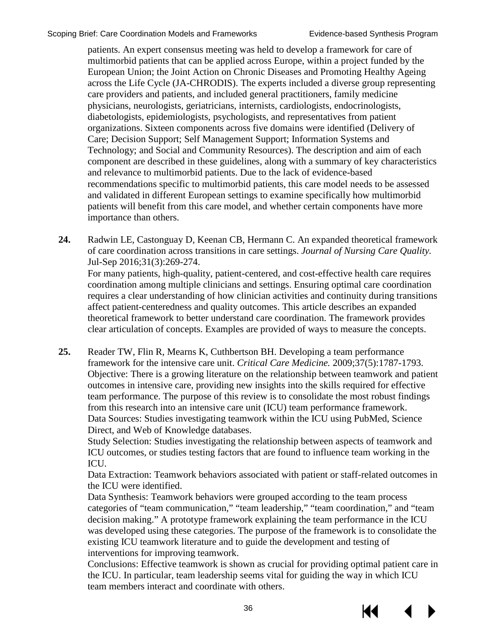#### <span id="page-39-2"></span>Scoping Brief: Care Coordination Models and Frameworks Fundence-based Synthesis Program

patients. An expert consensus meeting was held to develop a framework for care of multimorbid patients that can be applied across Europe, within a project funded by the European Union; the Joint Action on Chronic Diseases and Promoting Healthy Ageing across the Life Cycle (JA-CHRODIS). The experts included a diverse group representing care providers and patients, and included general practitioners, family medicine physicians, neurologists, geriatricians, internists, cardiologists, endocrinologists, diabetologists, epidemiologists, psychologists, and representatives from patient organizations. Sixteen components across five domains were identified (Delivery of Care; Decision Support; Self Management Support; Information Systems and Technology; and Social and Community Resources). The description and aim of each component are described in these guidelines, along with a summary of key characteristics and relevance to multimorbid patients. Due to the lack of evidence-based recommendations specific to multimorbid patients, this care model needs to be assessed and validated in different European settings to examine specifically how multimorbid patients will benefit from this care model, and whether certain components have more importance than others.

<span id="page-39-1"></span>**24.** Radwin LE, Castonguay D, Keenan CB, Hermann C. An expanded theoretical framework of care coordination across transitions in care settings. *Journal of Nursing Care Quality.*  Jul-Sep 2016;31(3):269-274.

For many patients, high-quality, patient-centered, and cost-effective health care requires coordination among multiple clinicians and settings. Ensuring optimal care coordination requires a clear understanding of how clinician activities and continuity during transitions affect patient-centeredness and quality outcomes. This article describes an expanded theoretical framework to better understand care coordination. The framework provides clear articulation of concepts. Examples are provided of ways to measure the concepts.

<span id="page-39-0"></span>**25.** Reader TW, Flin R, Mearns K, Cuthbertson BH. Developing a team performance framework for the intensive care unit. *Critical Care Medicine.* 2009;37(5):1787-1793. Objective: There is a growing literature on the relationship between teamwork and patient outcomes in intensive care, providing new insights into the skills required for effective team performance. The purpose of this review is to consolidate the most robust findings from this research into an intensive care unit (ICU) team performance framework. Data Sources: Studies investigating teamwork within the ICU using PubMed, Science Direct, and Web of Knowledge databases.

Study Selection: Studies investigating the relationship between aspects of teamwork and ICU outcomes, or studies testing factors that are found to influence team working in the ICU.

Data Extraction: Teamwork behaviors associated with patient or staff-related outcomes in the ICU were identified.

Data Synthesis: Teamwork behaviors were grouped according to the team process categories of "team communication," "team leadership," "team coordination," and "team decision making." A prototype framework explaining the team performance in the ICU was developed using these categories. The purpose of the framework is to consolidate the existing ICU teamwork literature and to guide the development and testing of interventions for improving teamwork.

Conclusions: Effective teamwork is shown as crucial for providing optimal patient care in the ICU. In particular, team leadership seems vital for guiding the way in which ICU team members interact and coordinate with others.

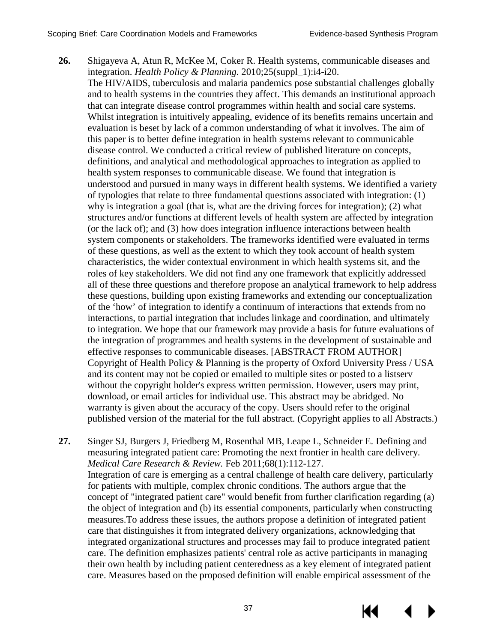К€

<span id="page-40-3"></span><span id="page-40-2"></span><span id="page-40-0"></span>**26.** Shigayeva A, Atun R, McKee M, Coker R. Health systems, communicable diseases and integration. *Health Policy & Planning.* 2010;25(suppl\_1):i4-i20.

The HIV/AIDS, tuberculosis and malaria pandemics pose substantial challenges globally and to health systems in the countries they affect. This demands an institutional approach that can integrate disease control programmes within health and social care systems. Whilst integration is intuitively appealing, evidence of its benefits remains uncertain and evaluation is beset by lack of a common understanding of what it involves. The aim of this paper is to better define integration in health systems relevant to communicable disease control. We conducted a critical review of published literature on concepts, definitions, and analytical and methodological approaches to integration as applied to health system responses to communicable disease. We found that integration is understood and pursued in many ways in different health systems. We identified a variety of typologies that relate to three fundamental questions associated with integration: (1) why is integration a goal (that is, what are the driving forces for integration); (2) what structures and/or functions at different levels of health system are affected by integration (or the lack of); and (3) how does integration influence interactions between health system components or stakeholders. The frameworks identified were evaluated in terms of these questions, as well as the extent to which they took account of health system characteristics, the wider contextual environment in which health systems sit, and the roles of key stakeholders. We did not find any one framework that explicitly addressed all of these three questions and therefore propose an analytical framework to help address these questions, building upon existing frameworks and extending our conceptualization of the 'how' of integration to identify a continuum of interactions that extends from no interactions, to partial integration that includes linkage and coordination, and ultimately to integration. We hope that our framework may provide a basis for future evaluations of the integration of programmes and health systems in the development of sustainable and effective responses to communicable diseases. [ABSTRACT FROM AUTHOR] Copyright of Health Policy & Planning is the property of Oxford University Press / USA and its content may not be copied or emailed to multiple sites or posted to a listserv without the copyright holder's express written permission. However, users may print, download, or email articles for individual use. This abstract may be abridged. No warranty is given about the accuracy of the copy. Users should refer to the original published version of the material for the full abstract. (Copyright applies to all Abstracts.)

<span id="page-40-4"></span><span id="page-40-1"></span>**27.** Singer SJ, Burgers J, Friedberg M, Rosenthal MB, Leape L, Schneider E. Defining and measuring integrated patient care: Promoting the next frontier in health care delivery. *Medical Care Research & Review.* Feb 2011;68(1):112-127. Integration of care is emerging as a central challenge of health care delivery, particularly for patients with multiple, complex chronic conditions. The authors argue that the concept of "integrated patient care" would benefit from further clarification regarding (a) the object of integration and (b) its essential components, particularly when constructing measures.To address these issues, the authors propose a definition of integrated patient care that distinguishes it from integrated delivery organizations, acknowledging that integrated organizational structures and processes may fail to produce integrated patient care. The definition emphasizes patients' central role as active participants in managing their own health by including patient centeredness as a key element of integrated patient care. Measures based on the proposed definition will enable empirical assessment of the

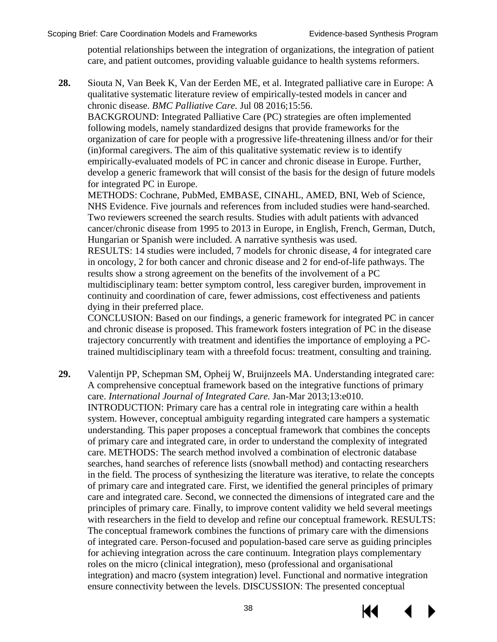<span id="page-41-2"></span>potential relationships between the integration of organizations, the integration of patient care, and patient outcomes, providing valuable guidance to health systems reformers.

<span id="page-41-0"></span>**28.** Siouta N, Van Beek K, Van der Eerden ME, et al. Integrated palliative care in Europe: A qualitative systematic literature review of empirically-tested models in cancer and chronic disease. *BMC Palliative Care.* Jul 08 2016;15:56. BACKGROUND: Integrated Palliative Care (PC) strategies are often implemented following models, namely standardized designs that provide frameworks for the organization of care for people with a progressive life-threatening illness and/or for their (in)formal caregivers. The aim of this qualitative systematic review is to identify empirically-evaluated models of PC in cancer and chronic disease in Europe. Further, develop a generic framework that will consist of the basis for the design of future models for integrated PC in Europe. METHODS: Cochrane, PubMed, EMBASE, CINAHL, AMED, BNI, Web of Science,

<span id="page-41-3"></span>NHS Evidence. Five journals and references from included studies were hand-searched. Two reviewers screened the search results. Studies with adult patients with advanced cancer/chronic disease from 1995 to 2013 in Europe, in English, French, German, Dutch, Hungarian or Spanish were included. A narrative synthesis was used.

RESULTS: 14 studies were included, 7 models for chronic disease, 4 for integrated care in oncology, 2 for both cancer and chronic disease and 2 for end-of-life pathways. The results show a strong agreement on the benefits of the involvement of a PC multidisciplinary team: better symptom control, less caregiver burden, improvement in continuity and coordination of care, fewer admissions, cost effectiveness and patients dying in their preferred place.

CONCLUSION: Based on our findings, a generic framework for integrated PC in cancer and chronic disease is proposed. This framework fosters integration of PC in the disease trajectory concurrently with treatment and identifies the importance of employing a PCtrained multidisciplinary team with a threefold focus: treatment, consulting and training.

#### <span id="page-41-1"></span>**29.** Valentijn PP, Schepman SM, Opheij W, Bruijnzeels MA. Understanding integrated care: A comprehensive conceptual framework based on the integrative functions of primary care. *International Journal of Integrated Care.* Jan-Mar 2013;13:e010.

INTRODUCTION: Primary care has a central role in integrating care within a health system. However, conceptual ambiguity regarding integrated care hampers a systematic understanding. This paper proposes a conceptual framework that combines the concepts of primary care and integrated care, in order to understand the complexity of integrated care. METHODS: The search method involved a combination of electronic database searches, hand searches of reference lists (snowball method) and contacting researchers in the field. The process of synthesizing the literature was iterative, to relate the concepts of primary care and integrated care. First, we identified the general principles of primary care and integrated care. Second, we connected the dimensions of integrated care and the principles of primary care. Finally, to improve content validity we held several meetings with researchers in the field to develop and refine our conceptual framework. RESULTS: The conceptual framework combines the functions of primary care with the dimensions of integrated care. Person-focused and population-based care serve as guiding principles for achieving integration across the care continuum. Integration plays complementary roles on the micro (clinical integration), meso (professional and organisational integration) and macro (system integration) level. Functional and normative integration ensure connectivity between the levels. DISCUSSION: The presented conceptual

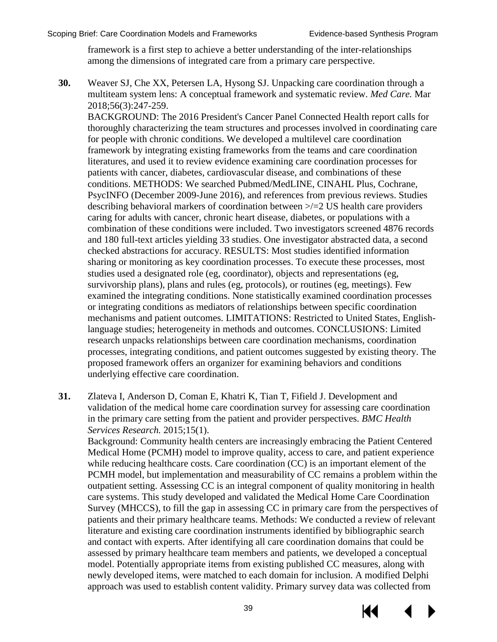framework is a first step to achieve a better understanding of the inter-relationships among the dimensions of integrated care from a primary care perspective.

<span id="page-42-2"></span><span id="page-42-1"></span>**30.** Weaver SJ, Che XX, Petersen LA, Hysong SJ. Unpacking care coordination through a multiteam system lens: A conceptual framework and systematic review. *Med Care.* Mar 2018;56(3):247-259.

<span id="page-42-3"></span>BACKGROUND: The 2016 President's Cancer Panel Connected Health report calls for thoroughly characterizing the team structures and processes involved in coordinating care for people with chronic conditions. We developed a multilevel care coordination framework by integrating existing frameworks from the teams and care coordination literatures, and used it to review evidence examining care coordination processes for patients with cancer, diabetes, cardiovascular disease, and combinations of these conditions. METHODS: We searched Pubmed/MedLINE, CINAHL Plus, Cochrane, PsycINFO (December 2009-June 2016), and references from previous reviews. Studies describing behavioral markers of coordination between  $\geq/2$  US health care providers caring for adults with cancer, chronic heart disease, diabetes, or populations with a combination of these conditions were included. Two investigators screened 4876 records and 180 full-text articles yielding 33 studies. One investigator abstracted data, a second checked abstractions for accuracy. RESULTS: Most studies identified information sharing or monitoring as key coordination processes. To execute these processes, most studies used a designated role (eg, coordinator), objects and representations (eg, survivorship plans), plans and rules (eg, protocols), or routines (eg, meetings). Few examined the integrating conditions. None statistically examined coordination processes or integrating conditions as mediators of relationships between specific coordination mechanisms and patient outcomes. LIMITATIONS: Restricted to United States, Englishlanguage studies; heterogeneity in methods and outcomes. CONCLUSIONS: Limited research unpacks relationships between care coordination mechanisms, coordination processes, integrating conditions, and patient outcomes suggested by existing theory. The proposed framework offers an organizer for examining behaviors and conditions underlying effective care coordination.

<span id="page-42-0"></span>**31.** Zlateva I, Anderson D, Coman E, Khatri K, Tian T, Fifield J. Development and validation of the medical home care coordination survey for assessing care coordination in the primary care setting from the patient and provider perspectives. *BMC Health Services Research.* 2015;15(1).

Background: Community health centers are increasingly embracing the Patient Centered Medical Home (PCMH) model to improve quality, access to care, and patient experience while reducing healthcare costs. Care coordination (CC) is an important element of the PCMH model, but implementation and measurability of CC remains a problem within the outpatient setting. Assessing CC is an integral component of quality monitoring in health care systems. This study developed and validated the Medical Home Care Coordination Survey (MHCCS), to fill the gap in assessing CC in primary care from the perspectives of patients and their primary healthcare teams. Methods: We conducted a review of relevant literature and existing care coordination instruments identified by bibliographic search and contact with experts. After identifying all care coordination domains that could be assessed by primary healthcare team members and patients, we developed a conceptual model. Potentially appropriate items from existing published CC measures, along with newly developed items, were matched to each domain for inclusion. A modified Delphi approach was used to establish content validity. Primary survey data was collected from

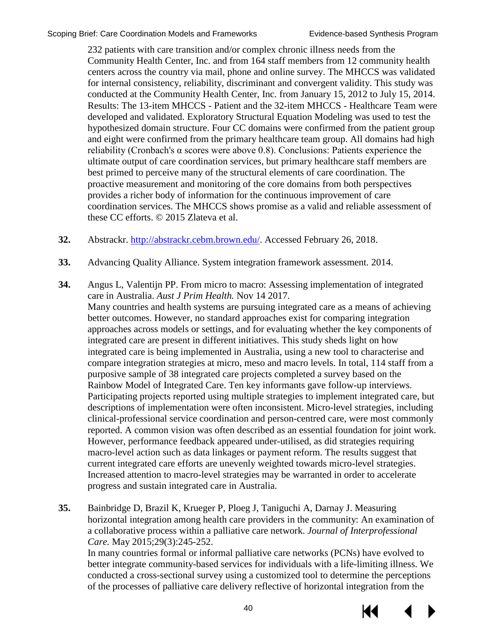<span id="page-43-2"></span><span id="page-43-0"></span>232 patients with care transition and/or complex chronic illness needs from the Community Health Center, Inc. and from 164 staff members from 12 community health centers across the country via mail, phone and online survey. The MHCCS was validated for internal consistency, reliability, discriminant and convergent validity. This study was conducted at the Community Health Center, Inc. from January 15, 2012 to July 15, 2014. Results: The 13-item MHCCS - Patient and the 32-item MHCCS - Healthcare Team were developed and validated. Exploratory Structural Equation Modeling was used to test the hypothesized domain structure. Four CC domains were confirmed from the patient group and eight were confirmed from the primary healthcare team group. All domains had high reliability (Cronbach's α scores were above 0.8). Conclusions: Patients experience the ultimate output of care coordination services, but primary healthcare staff members are best primed to perceive many of the structural elements of care coordination. The proactive measurement and monitoring of the core domains from both perspectives provides a richer body of information for the continuous improvement of care coordination services. The MHCCS shows promise as a valid and reliable assessment of these CC efforts. © 2015 Zlateva et al.

- **32.** Abstrackr. [http://abstrackr.cebm.brown.edu/.](http://abstrackr.cebm.brown.edu/) Accessed February 26, 2018.
- <span id="page-43-1"></span>**33.** Advancing Quality Alliance. System integration framework assessment. 2014.
- **34.** Angus L, Valentijn PP. From micro to macro: Assessing implementation of integrated care in Australia. *Aust J Prim Health.* Nov 14 2017. Many countries and health systems are pursuing integrated care as a means of achieving better outcomes. However, no standard approaches exist for comparing integration approaches across models or settings, and for evaluating whether the key components of integrated care are present in different initiatives. This study sheds light on how integrated care is being implemented in Australia, using a new tool to characterise and compare integration strategies at micro, meso and macro levels. In total, 114 staff from a purposive sample of 38 integrated care projects completed a survey based on the Rainbow Model of Integrated Care. Ten key informants gave follow-up interviews. Participating projects reported using multiple strategies to implement integrated care, but descriptions of implementation were often inconsistent. Micro-level strategies, including clinical-professional service coordination and person-centred care, were most commonly reported. A common vision was often described as an essential foundation for joint work. However, performance feedback appeared under-utilised, as did strategies requiring macro-level action such as data linkages or payment reform. The results suggest that current integrated care efforts are unevenly weighted towards micro-level strategies. Increased attention to macro-level strategies may be warranted in order to accelerate progress and sustain integrated care in Australia.
- **35.** Bainbridge D, Brazil K, Krueger P, Ploeg J, Taniguchi A, Darnay J. Measuring horizontal integration among health care providers in the community: An examination of a collaborative process within a palliative care network. *Journal of Interprofessional Care.* May 2015;29(3):245-252. In many countries formal or informal palliative care networks (PCNs) have evolved to

better integrate community-based services for individuals with a life-limiting illness. We conducted a cross-sectional survey using a customized tool to determine the perceptions of the processes of palliative care delivery reflective of horizontal integration from the

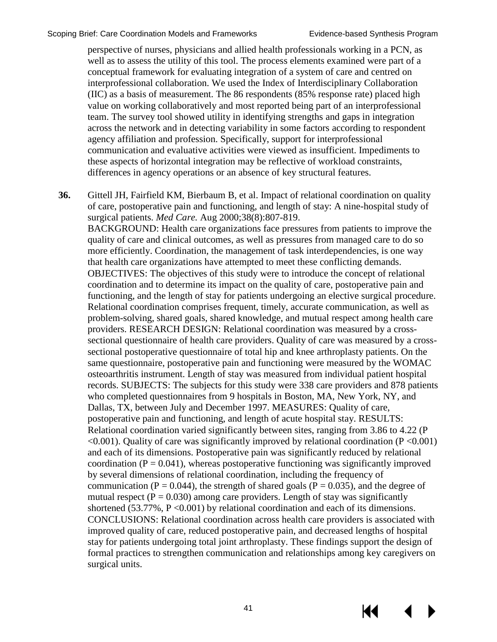<span id="page-44-1"></span>perspective of nurses, physicians and allied health professionals working in a PCN, as well as to assess the utility of this tool. The process elements examined were part of a conceptual framework for evaluating integration of a system of care and centred on interprofessional collaboration. We used the Index of Interdisciplinary Collaboration (IIC) as a basis of measurement. The 86 respondents (85% response rate) placed high value on working collaboratively and most reported being part of an interprofessional team. The survey tool showed utility in identifying strengths and gaps in integration across the network and in detecting variability in some factors according to respondent agency affiliation and profession. Specifically, support for interprofessional communication and evaluative activities were viewed as insufficient. Impediments to these aspects of horizontal integration may be reflective of workload constraints, differences in agency operations or an absence of key structural features.

<span id="page-44-0"></span>**36.** Gittell JH, Fairfield KM, Bierbaum B, et al. Impact of relational coordination on quality of care, postoperative pain and functioning, and length of stay: A nine-hospital study of surgical patients. *Med Care.* Aug 2000;38(8):807-819.

BACKGROUND: Health care organizations face pressures from patients to improve the quality of care and clinical outcomes, as well as pressures from managed care to do so more efficiently. Coordination, the management of task interdependencies, is one way that health care organizations have attempted to meet these conflicting demands. OBJECTIVES: The objectives of this study were to introduce the concept of relational coordination and to determine its impact on the quality of care, postoperative pain and functioning, and the length of stay for patients undergoing an elective surgical procedure. Relational coordination comprises frequent, timely, accurate communication, as well as problem-solving, shared goals, shared knowledge, and mutual respect among health care providers. RESEARCH DESIGN: Relational coordination was measured by a crosssectional questionnaire of health care providers. Quality of care was measured by a crosssectional postoperative questionnaire of total hip and knee arthroplasty patients. On the same questionnaire, postoperative pain and functioning were measured by the WOMAC osteoarthritis instrument. Length of stay was measured from individual patient hospital records. SUBJECTS: The subjects for this study were 338 care providers and 878 patients who completed questionnaires from 9 hospitals in Boston, MA, New York, NY, and Dallas, TX, between July and December 1997. MEASURES: Quality of care, postoperative pain and functioning, and length of acute hospital stay. RESULTS: Relational coordination varied significantly between sites, ranging from 3.86 to 4.22 (P  $\leq 0.001$ ). Quality of care was significantly improved by relational coordination (P $\leq 0.001$ ) and each of its dimensions. Postoperative pain was significantly reduced by relational coordination ( $P = 0.041$ ), whereas postoperative functioning was significantly improved by several dimensions of relational coordination, including the frequency of communication ( $P = 0.044$ ), the strength of shared goals ( $P = 0.035$ ), and the degree of mutual respect ( $P = 0.030$ ) among care providers. Length of stay was significantly shortened (53.77%,  $P \le 0.001$ ) by relational coordination and each of its dimensions. CONCLUSIONS: Relational coordination across health care providers is associated with improved quality of care, reduced postoperative pain, and decreased lengths of hospital stay for patients undergoing total joint arthroplasty. These findings support the design of formal practices to strengthen communication and relationships among key caregivers on surgical units.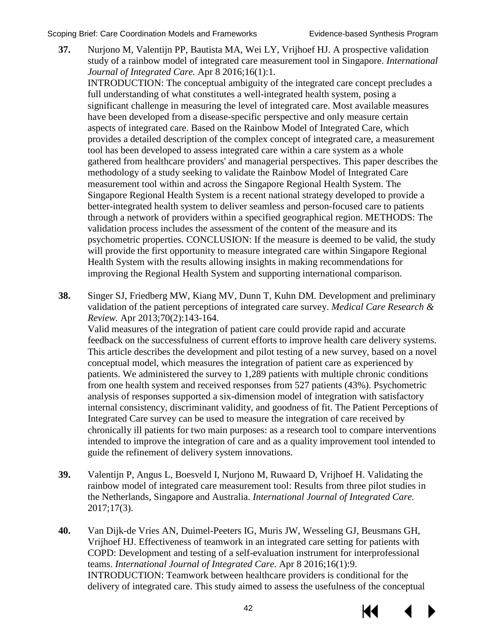<span id="page-45-1"></span><span id="page-45-0"></span>**37.** Nurjono M, Valentijn PP, Bautista MA, Wei LY, Vrijhoef HJ. A prospective validation study of a rainbow model of integrated care measurement tool in Singapore. *International Journal of Integrated Care.* Apr 8 2016;16(1):1.

INTRODUCTION: The conceptual ambiguity of the integrated care concept precludes a full understanding of what constitutes a well-integrated health system, posing a significant challenge in measuring the level of integrated care. Most available measures have been developed from a disease-specific perspective and only measure certain aspects of integrated care. Based on the Rainbow Model of Integrated Care, which provides a detailed description of the complex concept of integrated care, a measurement tool has been developed to assess integrated care within a care system as a whole gathered from healthcare providers' and managerial perspectives. This paper describes the methodology of a study seeking to validate the Rainbow Model of Integrated Care measurement tool within and across the Singapore Regional Health System. The Singapore Regional Health System is a recent national strategy developed to provide a better-integrated health system to deliver seamless and person-focused care to patients through a network of providers within a specified geographical region. METHODS: The validation process includes the assessment of the content of the measure and its psychometric properties. CONCLUSION: If the measure is deemed to be valid, the study will provide the first opportunity to measure integrated care within Singapore Regional Health System with the results allowing insights in making recommendations for improving the Regional Health System and supporting international comparison.

**38.** Singer SJ, Friedberg MW, Kiang MV, Dunn T, Kuhn DM. Development and preliminary validation of the patient perceptions of integrated care survey. *Medical Care Research & Review.* Apr 2013;70(2):143-164.

<span id="page-45-2"></span>Valid measures of the integration of patient care could provide rapid and accurate feedback on the successfulness of current efforts to improve health care delivery systems. This article describes the development and pilot testing of a new survey, based on a novel conceptual model, which measures the integration of patient care as experienced by patients. We administered the survey to 1,289 patients with multiple chronic conditions from one health system and received responses from 527 patients (43%). Psychometric analysis of responses supported a six-dimension model of integration with satisfactory internal consistency, discriminant validity, and goodness of fit. The Patient Perceptions of Integrated Care survey can be used to measure the integration of care received by chronically ill patients for two main purposes: as a research tool to compare interventions intended to improve the integration of care and as a quality improvement tool intended to guide the refinement of delivery system innovations.

- **39.** Valentijn P, Angus L, Boesveld I, Nurjono M, Ruwaard D, Vrijhoef H. Validating the rainbow model of integrated care measurement tool: Results from three pilot studies in the Netherlands, Singapore and Australia. *International Journal of Integrated Care.*  2017;17(3).
- **40.** Van Dijk-de Vries AN, Duimel-Peeters IG, Muris JW, Wesseling GJ, Beusmans GH, Vrijhoef HJ. Effectiveness of teamwork in an integrated care setting for patients with COPD: Development and testing of a self-evaluation instrument for interprofessional teams. *International Journal of Integrated Care.* Apr 8 2016;16(1):9. INTRODUCTION: Teamwork between healthcare providers is conditional for the delivery of integrated care. This study aimed to assess the usefulness of the conceptual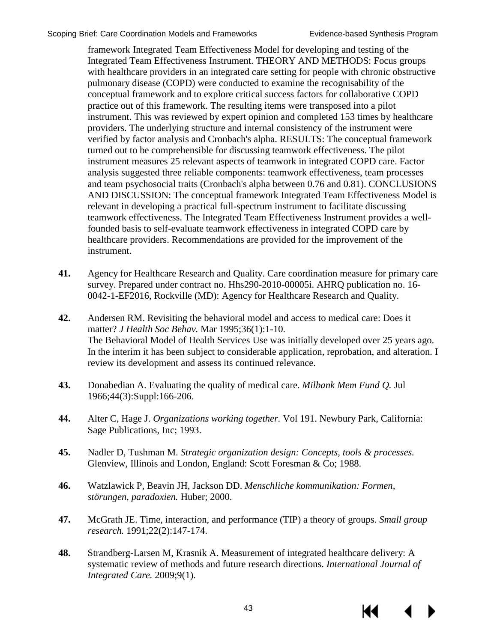<span id="page-46-5"></span>framework Integrated Team Effectiveness Model for developing and testing of the Integrated Team Effectiveness Instrument. THEORY AND METHODS: Focus groups with healthcare providers in an integrated care setting for people with chronic obstructive pulmonary disease (COPD) were conducted to examine the recognisability of the conceptual framework and to explore critical success factors for collaborative COPD practice out of this framework. The resulting items were transposed into a pilot instrument. This was reviewed by expert opinion and completed 153 times by healthcare providers. The underlying structure and internal consistency of the instrument were verified by factor analysis and Cronbach's alpha. RESULTS: The conceptual framework turned out to be comprehensible for discussing teamwork effectiveness. The pilot instrument measures 25 relevant aspects of teamwork in integrated COPD care. Factor analysis suggested three reliable components: teamwork effectiveness, team processes and team psychosocial traits (Cronbach's alpha between 0.76 and 0.81). CONCLUSIONS AND DISCUSSION: The conceptual framework Integrated Team Effectiveness Model is relevant in developing a practical full-spectrum instrument to facilitate discussing teamwork effectiveness. The Integrated Team Effectiveness Instrument provides a wellfounded basis to self-evaluate teamwork effectiveness in integrated COPD care by healthcare providers. Recommendations are provided for the improvement of the instrument.

- **41.** Agency for Healthcare Research and Quality. Care coordination measure for primary care survey. Prepared under contract no. Hhs290-2010-00005i. AHRQ publication no. 16- 0042-1-EF2016, Rockville (MD): Agency for Healthcare Research and Quality.
- <span id="page-46-0"></span>**42.** Andersen RM. Revisiting the behavioral model and access to medical care: Does it matter? *J Health Soc Behav.* Mar 1995;36(1):1-10. The Behavioral Model of Health Services Use was initially developed over 25 years ago. In the interim it has been subject to considerable application, reprobation, and alteration. I review its development and assess its continued relevance.
- <span id="page-46-1"></span>**43.** Donabedian A. Evaluating the quality of medical care. *Milbank Mem Fund Q.* Jul 1966;44(3):Suppl:166-206.
- <span id="page-46-8"></span><span id="page-46-2"></span>**44.** Alter C, Hage J. *Organizations working together.* Vol 191. Newbury Park, California: Sage Publications, Inc; 1993.
- <span id="page-46-4"></span>**45.** Nadler D, Tushman M. *Strategic organization design: Concepts, tools & processes.* Glenview, Illinois and London, England: Scott Foresman & Co; 1988.
- <span id="page-46-7"></span>**46.** Watzlawick P, Beavin JH, Jackson DD. *Menschliche kommunikation: Formen, störungen, paradoxien.* Huber; 2000.
- <span id="page-46-6"></span>**47.** McGrath JE. Time, interaction, and performance (TIP) a theory of groups. *Small group research.* 1991;22(2):147-174.
- <span id="page-46-3"></span>**48.** Strandberg-Larsen M, Krasnik A. Measurement of integrated healthcare delivery: A systematic review of methods and future research directions. *International Journal of Integrated Care.* 2009;9(1).